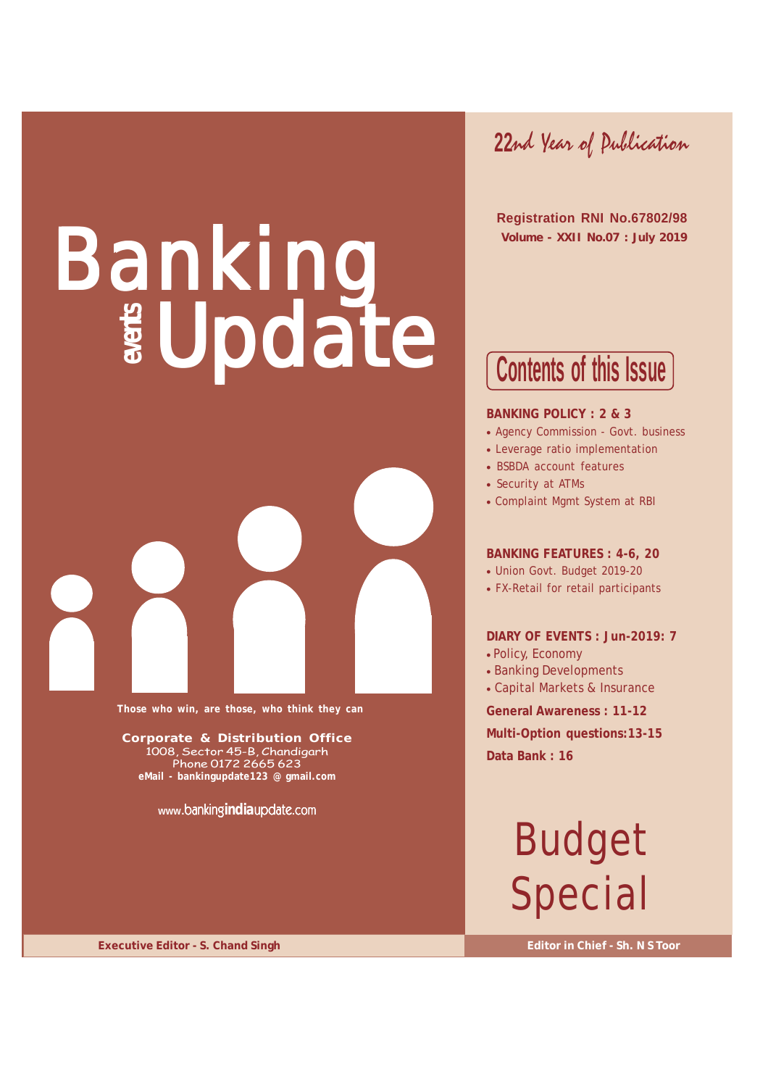# Banking Update



**Those who win, are those, who think they can**

**Corporate & Distribution Office** 1008, Sector 45-B, Chandigarh Phone 0172 2665 623 **eMail - bankingupdate123 @ gmail.com**

**www.**banking**india**update.com

**22**nd Year of Publication

 **Registration RNI No.67802/98 Volume - XXII No.07 : July 2019**

## **Contents of this Issue**

#### **BANKING POLICY : 2 & 3**

- Agency Commission Govt. business
- Leverage ratio implementation
- BSBDA account features
- Security at ATMs
- Complaint Mgmt System at RBI

#### **BANKING FEATURES : 4-6, 20**

- Union Govt. Budget 2019-20
- FX-Retail for retail participants

#### **DIARY OF EVENTS : Jun-2019: 7**

- Policy, Economy
- Banking Developments
- Capital Markets & Insurance

**General Awareness : 11-12**

**Multi-Option questions:13-15 Data Bank : 16**

## Budget Special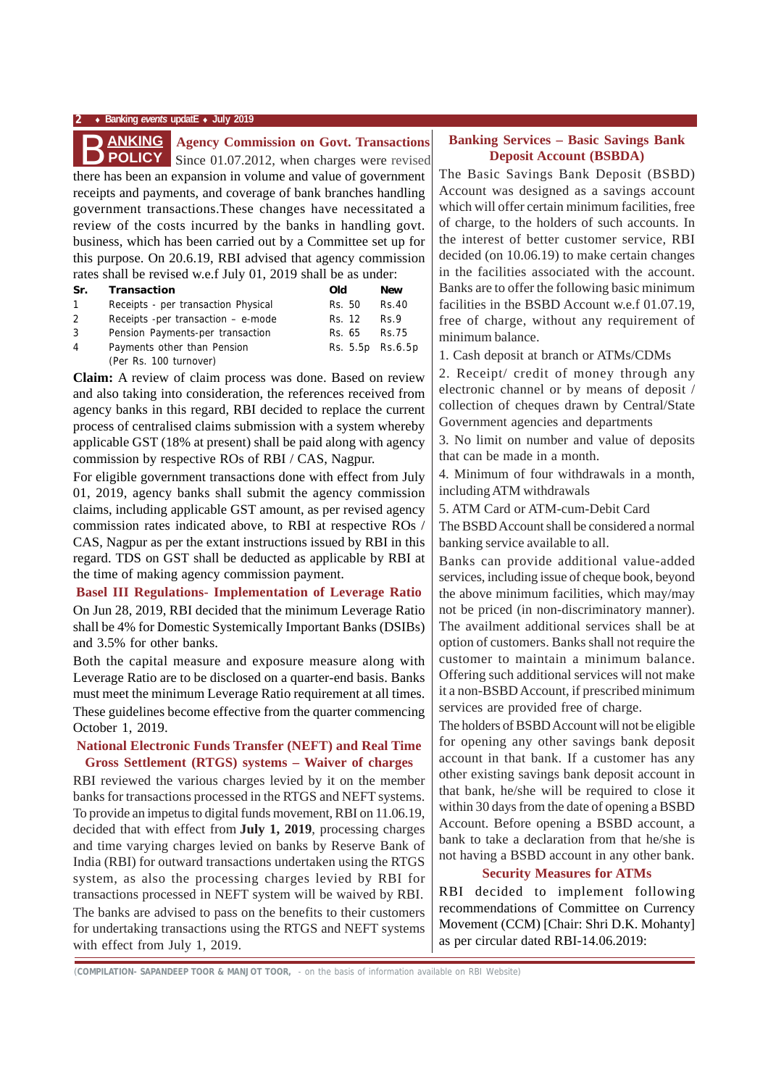#### **2** ♦ **Banking** *events* **updatE** ♦ **July 2019**



#### **ANKING** Agency Commission on Govt. Transactions

there has been an expansion in volume and value of government receipts and payments, and coverage of bank branches handling government transactions.These changes have necessitated a review of the costs incurred by the banks in handling govt. business, which has been carried out by a Committee set up for this purpose. On 20.6.19, RBI advised that agency commission rates shall be revised w.e.f July 01, 2019 shall be as under: Since 01.07.2012, when charges were revised

| Tutos shuil oo Tovisou wich surv 01, 2017 shuil oo us unuci. |                                       |                  |            |  |  |  |  |  |
|--------------------------------------------------------------|---------------------------------------|------------------|------------|--|--|--|--|--|
| Sr.                                                          | Transaction                           | Old              | <b>New</b> |  |  |  |  |  |
| $\mathbf{1}$                                                 | Receipts - per transaction Physical   | Rs. 50           | Rs.40      |  |  |  |  |  |
| 2                                                            | Receipts - per transaction $-$ e-mode | Rs. 12           | Rs.9       |  |  |  |  |  |
| 3                                                            | Pension Payments-per transaction      | Rs. 65           | Rs.75      |  |  |  |  |  |
| 4                                                            | Payments other than Pension           | Rs. 5.5p Rs.6.5p |            |  |  |  |  |  |
|                                                              | (Per Rs. 100 turnover)                |                  |            |  |  |  |  |  |

**Claim:** A review of claim process was done. Based on review and also taking into consideration, the references received from agency banks in this regard, RBI decided to replace the current process of centralised claims submission with a system whereby applicable GST (18% at present) shall be paid along with agency commission by respective ROs of RBI / CAS, Nagpur.

For eligible government transactions done with effect from July 01, 2019, agency banks shall submit the agency commission claims, including applicable GST amount, as per revised agency commission rates indicated above, to RBI at respective ROs / CAS, Nagpur as per the extant instructions issued by RBI in this regard. TDS on GST shall be deducted as applicable by RBI at the time of making agency commission payment.

**Basel III Regulations- Implementation of Leverage Ratio** On Jun 28, 2019, RBI decided that the minimum Leverage Ratio shall be 4% for Domestic Systemically Important Banks (DSIBs) and 3.5% for other banks.

Both the capital measure and exposure measure along with Leverage Ratio are to be disclosed on a quarter-end basis. Banks must meet the minimum Leverage Ratio requirement at all times. These guidelines become effective from the quarter commencing October 1, 2019.

#### **National Electronic Funds Transfer (NEFT) and Real Time Gross Settlement (RTGS) systems – Waiver of charges**

RBI reviewed the various charges levied by it on the member banks for transactions processed in the RTGS and NEFT systems. To provide an impetus to digital funds movement, RBI on 11.06.19, decided that with effect from **July 1, 2019**, processing charges and time varying charges levied on banks by Reserve Bank of India (RBI) for outward transactions undertaken using the RTGS system, as also the processing charges levied by RBI for transactions processed in NEFT system will be waived by RBI. The banks are advised to pass on the benefits to their customers for undertaking transactions using the RTGS and NEFT systems with effect from July 1, 2019.

#### **Banking Services – Basic Savings Bank Deposit Account (BSBDA)**

The Basic Savings Bank Deposit (BSBD) Account was designed as a savings account which will offer certain minimum facilities, free of charge, to the holders of such accounts. In the interest of better customer service, RBI decided (on 10.06.19) to make certain changes in the facilities associated with the account. Banks are to offer the following basic minimum facilities in the BSBD Account w.e.f 01.07.19, free of charge, without any requirement of minimum balance.

1. Cash deposit at branch or ATMs/CDMs

2. Receipt/ credit of money through any electronic channel or by means of deposit / collection of cheques drawn by Central/State Government agencies and departments

3. No limit on number and value of deposits that can be made in a month.

4. Minimum of four withdrawals in a month, including ATM withdrawals

5. ATM Card or ATM-cum-Debit Card

The BSBD Account shall be considered a normal banking service available to all.

Banks can provide additional value-added services, including issue of cheque book, beyond the above minimum facilities, which may/may not be priced (in non-discriminatory manner). The availment additional services shall be at option of customers. Banks shall not require the customer to maintain a minimum balance. Offering such additional services will not make it a non-BSBD Account, if prescribed minimum services are provided free of charge.

The holders of BSBD Account will not be eligible for opening any other savings bank deposit account in that bank. If a customer has any other existing savings bank deposit account in that bank, he/she will be required to close it within 30 days from the date of opening a BSBD Account. Before opening a BSBD account, a bank to take a declaration from that he/she is not having a BSBD account in any other bank.

#### **Security Measures for ATMs**

RBI decided to implement following recommendations of Committee on Currency Movement (CCM) [Chair: Shri D.K. Mohanty] as per circular dated RBI-14.06.2019:

*(***COMPILATION- SAPANDEEP TOOR & MANJOT TOOR,** - on the basis of information available on RBI Website)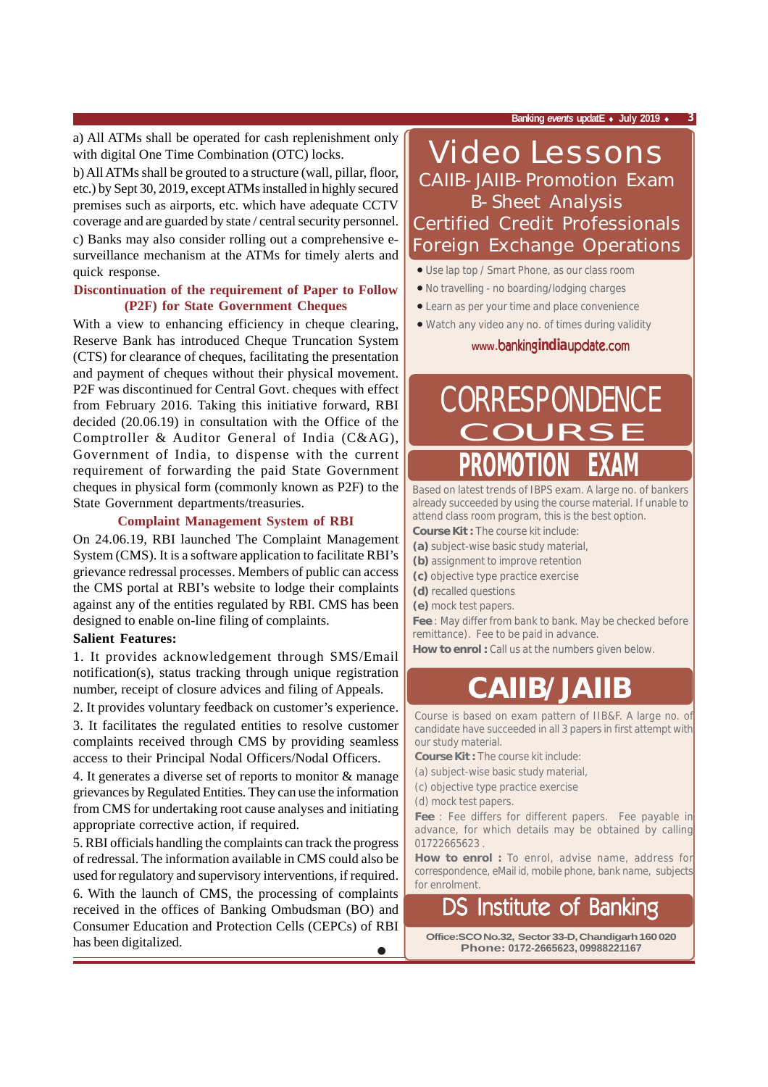a) All ATMs shall be operated for cash replenishment only with digital One Time Combination (OTC) locks.

b) All ATMs shall be grouted to a structure (wall, pillar, floor, etc.) by Sept 30, 2019, except ATMs installed in highly secured premises such as airports, etc. which have adequate CCTV coverage and are guarded by state / central security personnel.

c) Banks may also consider rolling out a comprehensive esurveillance mechanism at the ATMs for timely alerts and quick response.

#### **Discontinuation of the requirement of Paper to Follow (P2F) for State Government Cheques**

With a view to enhancing efficiency in cheque clearing, Reserve Bank has introduced Cheque Truncation System (CTS) for clearance of cheques, facilitating the presentation and payment of cheques without their physical movement. P2F was discontinued for Central Govt. cheques with effect from February 2016. Taking this initiative forward, RBI decided (20.06.19) in consultation with the Office of the Comptroller & Auditor General of India (C&AG), Government of India, to dispense with the current requirement of forwarding the paid State Government cheques in physical form (commonly known as P2F) to the State Government departments/treasuries.

#### **Complaint Management System of RBI**

On 24.06.19, RBI launched The Complaint Management System (CMS). It is a software application to facilitate RBI's grievance redressal processes. Members of public can access the CMS portal at RBI's website to lodge their complaints against any of the entities regulated by RBI. CMS has been designed to enable on-line filing of complaints.

#### **Salient Features:**

1. It provides acknowledgement through SMS/Email notification(s), status tracking through unique registration number, receipt of closure advices and filing of Appeals.

2. It provides voluntary feedback on customer's experience.

3. It facilitates the regulated entities to resolve customer complaints received through CMS by providing seamless access to their Principal Nodal Officers/Nodal Officers.

4. It generates a diverse set of reports to monitor & manage grievances by Regulated Entities. They can use the information from CMS for undertaking root cause analyses and initiating appropriate corrective action, if required.

5. RBI officials handling the complaints can track the progress of redressal. The information available in CMS could also be used for regulatory and supervisory interventions, if required.

• 6. With the launch of CMS, the processing of complaints received in the offices of Banking Ombudsman (BO) and Consumer Education and Protection Cells (CEPCs) of RBI has been digitalized.

**Banking** *events* **updatE** ♦ **July 2019** ♦ **3**

### Video Lessons CAIIB-JAIIB-Promotion Exam B-Sheet Analysis Certified Credit Professionals Foreign Exchange Operations

- Use lap top / Smart Phone, as our class room
- No travelling no boarding/lodging charges
- Learn as per your time and place convenience
- Watch any video any no. of times during validity

**www.**banking**india**update.com

## **PROMOTION EXAM CORRESPONDENCE**

Based on latest trends of IBPS exam. A large no. of bankers already succeeded by using the course material. If unable to attend class room program, this is the best option. **Course Kit :** The course kit include:

- **(a)** subject-wise basic study material,
- **(b)** assignment to improve retention
- **(c)** objective type practice exercise
- **(d)** recalled questions
- **(e)** mock test papers.

**Fee** : May differ from bank to bank. May be checked before remittance). Fee to be paid in advance.

How to enrol : Call us at the numbers given below.

## **CAIIB/JAIIB**

Course is based on exam pattern of IIB&F. A large no. of candidate have succeeded in all 3 papers in first attempt with our study material.

**Course Kit :** The course kit include:

- (a) subject-wise basic study material,
- (c) objective type practice exercise

(d) mock test papers.

**Fee** : Fee differs for different papers. Fee payable in advance, for which details may be obtained by calling 01722665623 .

**How to enrol :** To enrol, advise name, address for correspondence, eMail id, mobile phone, bank name, subjects for enrolment.

## Institute of Banking

**Office:SCO No.32, Sector 33-D, Chandigarh 160 020 Phone: 0172-2665623, 09988221167**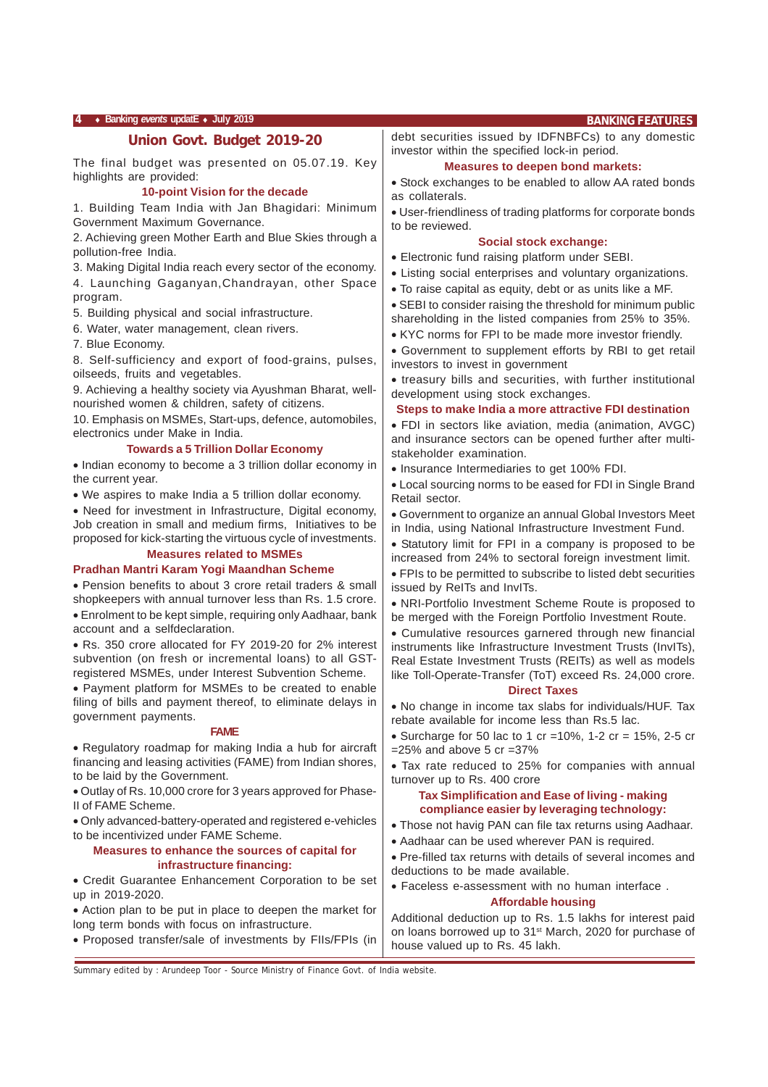#### **4** ♦ **Banking** *events* **updatE** ♦ **July 2019 BANKING FEATURES**

#### **Union Govt. Budget 2019-20**

The final budget was presented on 05.07.19. Key highlights are provided:

#### **10-point Vision for the decade**

1. Building Team India with Jan Bhagidari: Minimum Government Maximum Governance.

2. Achieving green Mother Earth and Blue Skies through a pollution-free India.

3. Making Digital India reach every sector of the economy.

4. Launching Gaganyan,Chandrayan, other Space program.

5. Building physical and social infrastructure.

6. Water, water management, clean rivers.

7. Blue Economy.

8. Self-sufficiency and export of food-grains, pulses, oilseeds, fruits and vegetables.

9. Achieving a healthy society via Ayushman Bharat, wellnourished women & children, safety of citizens.

10. Emphasis on MSMEs, Start-ups, defence, automobiles, electronics under Make in India.

#### **Towards a 5 Trillion Dollar Economy**

• Indian economy to become a 3 trillion dollar economy in the current year.

• We aspires to make India a 5 trillion dollar economy.

• Need for investment in Infrastructure, Digital economy, Job creation in small and medium firms, Initiatives to be proposed for kick-starting the virtuous cycle of investments.

#### **Measures related to MSMEs**

#### **Pradhan Mantri Karam Yogi Maandhan Scheme**

• Pension benefits to about 3 crore retail traders & small shopkeepers with annual turnover less than Rs. 1.5 crore.

• Enrolment to be kept simple, requiring only Aadhaar, bank account and a selfdeclaration.

• Rs. 350 crore allocated for FY 2019-20 for 2% interest subvention (on fresh or incremental loans) to all GSTregistered MSMEs, under Interest Subvention Scheme.

• Payment platform for MSMEs to be created to enable filing of bills and payment thereof, to eliminate delays in government payments.

#### **FAME**

• Regulatory roadmap for making India a hub for aircraft financing and leasing activities (FAME) from Indian shores, to be laid by the Government.

• Outlay of Rs. 10,000 crore for 3 years approved for Phase-II of FAME Scheme.

• Only advanced-battery-operated and registered e-vehicles to be incentivized under FAME Scheme.

#### **Measures to enhance the sources of capital for infrastructure financing:**

• Credit Guarantee Enhancement Corporation to be set up in 2019-2020.

• Action plan to be put in place to deepen the market for long term bonds with focus on infrastructure.

• Proposed transfer/sale of investments by FIIs/FPIs (in

debt securities issued by IDFNBFCs) to any domestic investor within the specified lock-in period.

#### **Measures to deepen bond markets:**

• Stock exchanges to be enabled to allow AA rated bonds as collaterals.

• User-friendliness of trading platforms for corporate bonds to be reviewed.

#### **Social stock exchange:**

- Electronic fund raising platform under SEBI.
- Listing social enterprises and voluntary organizations.
- To raise capital as equity, debt or as units like a MF.
- SEBI to consider raising the threshold for minimum public shareholding in the listed companies from 25% to 35%.
- KYC norms for FPI to be made more investor friendly.

• Government to supplement efforts by RBI to get retail investors to invest in government

• treasury bills and securities, with further institutional development using stock exchanges.

#### **Steps to make India a more attractive FDI destination**

• FDI in sectors like aviation, media (animation, AVGC) and insurance sectors can be opened further after multistakeholder examination.

• Insurance Intermediaries to get 100% FDI.

• Local sourcing norms to be eased for FDI in Single Brand Retail sector.

• Government to organize an annual Global Investors Meet in India, using National Infrastructure Investment Fund.

• Statutory limit for FPI in a company is proposed to be increased from 24% to sectoral foreign investment limit.

• FPIs to be permitted to subscribe to listed debt securities issued by ReITs and InvITs.

• NRI-Portfolio Investment Scheme Route is proposed to be merged with the Foreign Portfolio Investment Route.

• Cumulative resources garnered through new financial instruments like Infrastructure Investment Trusts (InvITs), Real Estate Investment Trusts (REITs) as well as models like Toll-Operate-Transfer (ToT) exceed Rs. 24,000 crore.

#### **Direct Taxes**

• No change in income tax slabs for individuals/HUF. Tax rebate available for income less than Rs.5 lac.

• Surcharge for 50 lac to 1 cr = 10%, 1-2 cr = 15%, 2-5 cr  $=25\%$  and above 5 cr  $=37\%$ 

• Tax rate reduced to 25% for companies with annual turnover up to Rs. 400 crore

#### **Tax Simplification and Ease of living - making compliance easier by leveraging technology:**

- Those not havig PAN can file tax returns using Aadhaar.
- Aadhaar can be used wherever PAN is required.

• Pre-filled tax returns with details of several incomes and deductions to be made available.

• Faceless e-assessment with no human interface .

#### **Affordable housing**

Additional deduction up to Rs. 1.5 lakhs for interest paid on loans borrowed up to 31st March, 2020 for purchase of house valued up to Rs. 45 lakh.

Summary edited by : Arundeep Toor - Source Ministry of Finance Govt. of India website.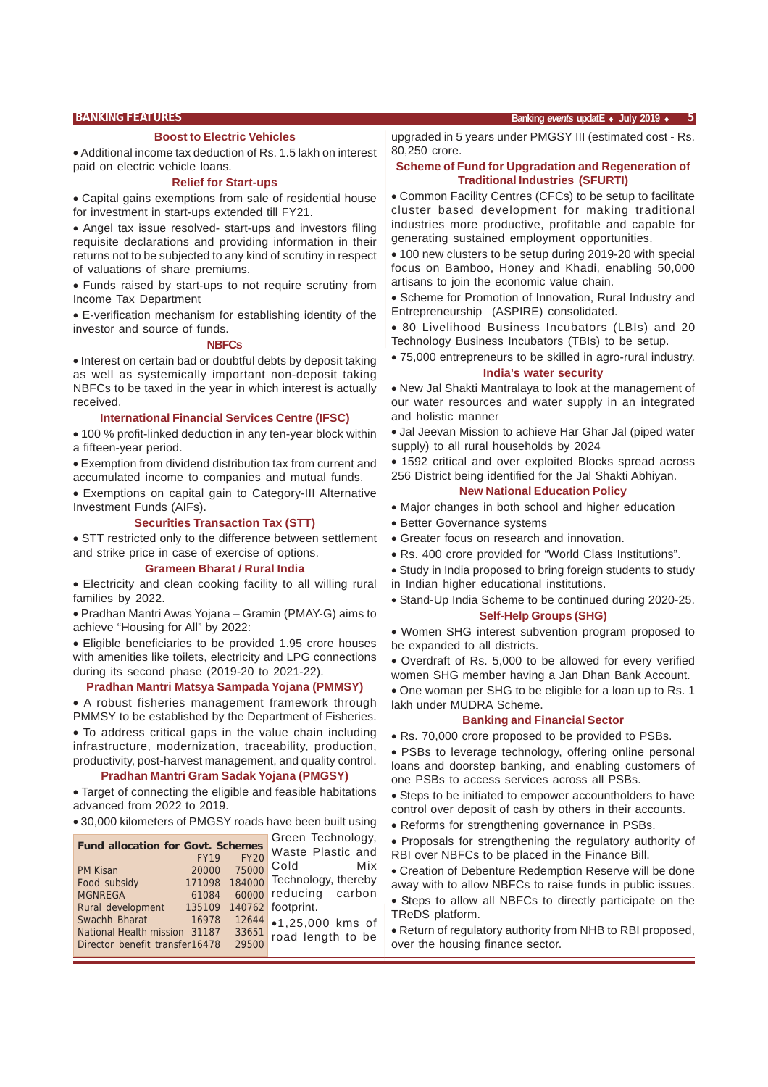#### **Boost to Electric Vehicles**

• Additional income tax deduction of Rs. 1.5 lakh on interest paid on electric vehicle loans.

#### **Relief for Start-ups**

• Capital gains exemptions from sale of residential house for investment in start-ups extended till FY21.

• Angel tax issue resolved- start-ups and investors filing requisite declarations and providing information in their returns not to be subjected to any kind of scrutiny in respect of valuations of share premiums.

• Funds raised by start-ups to not require scrutiny from Income Tax Department

• E-verification mechanism for establishing identity of the investor and source of funds.

#### **NBFCs**

• Interest on certain bad or doubtful debts by deposit taking as well as systemically important non-deposit taking NBFCs to be taxed in the year in which interest is actually received.

#### **International Financial Services Centre (IFSC)**

• 100 % profit-linked deduction in any ten-year block within a fifteen-year period.

• Exemption from dividend distribution tax from current and accumulated income to companies and mutual funds.

• Exemptions on capital gain to Category-III Alternative Investment Funds (AIFs).

#### **Securities Transaction Tax (STT)**

• STT restricted only to the difference between settlement and strike price in case of exercise of options.

#### **Grameen Bharat / Rural India**

• Electricity and clean cooking facility to all willing rural families by 2022.

• Pradhan Mantri Awas Yojana – Gramin (PMAY-G) aims to achieve "Housing for All" by 2022:

• Eligible beneficiaries to be provided 1.95 crore houses with amenities like toilets, electricity and LPG connections during its second phase (2019-20 to 2021-22).

#### **Pradhan Mantri Matsya Sampada Yojana (PMMSY)**

• A robust fisheries management framework through PMMSY to be established by the Department of Fisheries.

• To address critical gaps in the value chain including infrastructure, modernization, traceability, production, productivity, post-harvest management, and quality control.

#### **Pradhan Mantri Gram Sadak Yojana (PMGSY)**

• Target of connecting the eligible and feasible habitations advanced from 2022 to 2019.

• 30,000 kilometers of PMGSY roads have been built using

 $G_{\text{mean}}$  Technology,

| <b>Fund allocation for Govt. Schemes</b> | OIGGIL IGUILIUIUUV, |             |                       |
|------------------------------------------|---------------------|-------------|-----------------------|
|                                          | <b>FY19</b>         | <b>FY20</b> | Waste Plastic and     |
| <b>PM Kisan</b>                          | 20000               | 75000       | Cold<br>Mix           |
|                                          |                     |             |                       |
| Food subsidy                             | 171098              | 184000      | Technology, thereby   |
| <b>MGNREGA</b>                           | 61084               |             | 60000 reducing carbon |
| Rural development                        | 135109              |             | 140762 footprint.     |
| Swachh Bharat                            | 16978               | 12644       | •1,25,000 kms of      |
| National Health mission                  | 31187               | 33651       | road length to be     |
| Director benefit transfer16478           |                     | 29500       |                       |

upgraded in 5 years under PMGSY III (estimated cost - Rs. 80,250 crore.

#### **Scheme of Fund for Upgradation and Regeneration of Traditional Industries (SFURTI)**

• Common Facility Centres (CFCs) to be setup to facilitate cluster based development for making traditional industries more productive, profitable and capable for generating sustained employment opportunities.

• 100 new clusters to be setup during 2019-20 with special focus on Bamboo, Honey and Khadi, enabling 50,000 artisans to join the economic value chain.

• Scheme for Promotion of Innovation, Rural Industry and Entrepreneurship (ASPIRE) consolidated.

• 80 Livelihood Business Incubators (LBIs) and 20 Technology Business Incubators (TBIs) to be setup.

• 75,000 entrepreneurs to be skilled in agro-rural industry. **India's water security**

• New Jal Shakti Mantralaya to look at the management of our water resources and water supply in an integrated and holistic manner

• Jal Jeevan Mission to achieve Har Ghar Jal (piped water supply) to all rural households by 2024

• 1592 critical and over exploited Blocks spread across 256 District being identified for the Jal Shakti Abhiyan.

#### **New National Education Policy**

- Major changes in both school and higher education
- Better Governance systems
- Greater focus on research and innovation.
- Rs. 400 crore provided for "World Class Institutions".
- Study in India proposed to bring foreign students to study in Indian higher educational institutions.
- Stand-Up India Scheme to be continued during 2020-25. **Self-Help Groups (SHG)**

• Women SHG interest subvention program proposed to be expanded to all districts.

• Overdraft of Rs. 5,000 to be allowed for every verified women SHG member having a Jan Dhan Bank Account.

• One woman per SHG to be eligible for a loan up to Rs. 1 lakh under MUDRA Scheme.

#### **Banking and Financial Sector**

• Rs. 70,000 crore proposed to be provided to PSBs.

• PSBs to leverage technology, offering online personal loans and doorstep banking, and enabling customers of one PSBs to access services across all PSBs.

- Steps to be initiated to empower accountholders to have control over deposit of cash by others in their accounts.
- Reforms for strengthening governance in PSBs.
- Proposals for strengthening the regulatory authority of RBI over NBFCs to be placed in the Finance Bill.
- Creation of Debenture Redemption Reserve will be done away with to allow NBFCs to raise funds in public issues.
- Steps to allow all NBFCs to directly participate on the TReDS platform.

• Return of regulatory authority from NHB to RBI proposed, over the housing finance sector.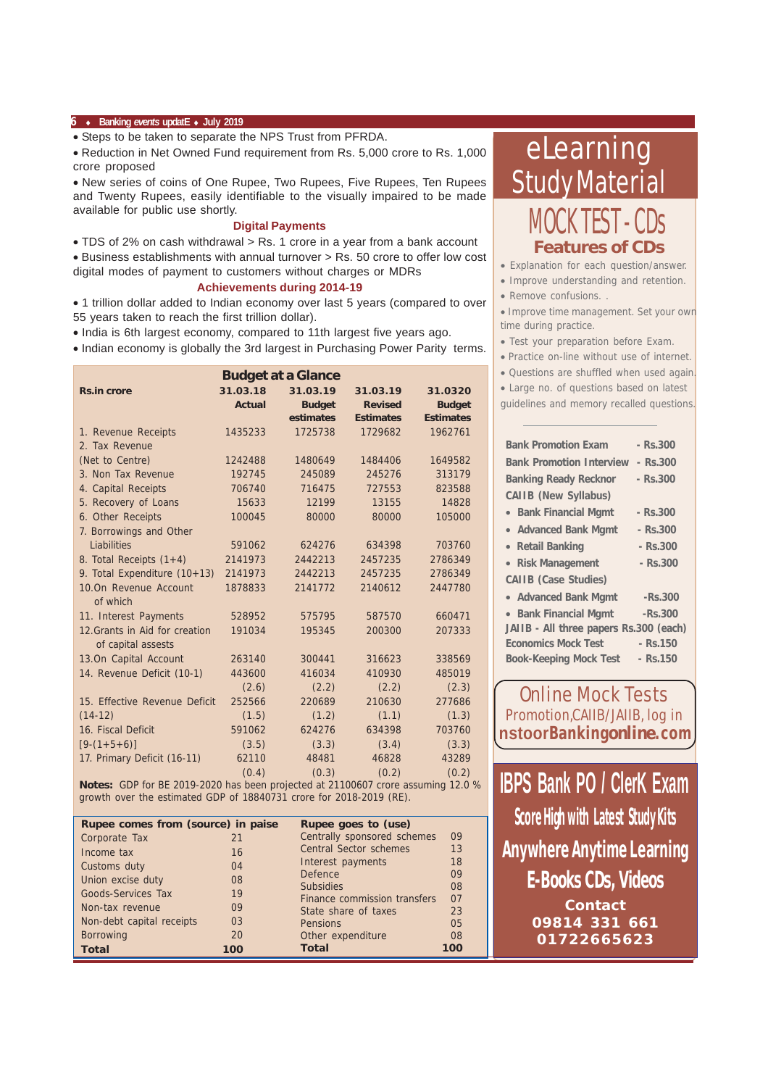#### **6** ♦ **Banking** *events* **updatE** ♦ **July 2019**

• Steps to be taken to separate the NPS Trust from PFRDA.

• Reduction in Net Owned Fund requirement from Rs. 5,000 crore to Rs. 1,000 crore proposed

• New series of coins of One Rupee, Two Rupees, Five Rupees, Ten Rupees and Twenty Rupees, easily identifiable to the visually impaired to be made available for public use shortly.

#### **Digital Payments**

• TDS of 2% on cash withdrawal > Rs. 1 crore in a year from a bank account

• Business establishments with annual turnover > Rs. 50 crore to offer low cost digital modes of payment to customers without charges or MDRs

#### **Achievements during 2014-19**

• 1 trillion dollar added to Indian economy over last 5 years (compared to over 55 years taken to reach the first trillion dollar).

• India is 6th largest economy, compared to 11th largest five years ago.

• Indian economy is globally the 3rd largest in Purchasing Power Parity terms.

| <b>Budget at a Glance</b>      |               |               |                  |                  |  |  |  |  |
|--------------------------------|---------------|---------------|------------------|------------------|--|--|--|--|
| <b>Rs.in crore</b>             | 31.03.18      | 31.03.19      | 31.03.19         | 31.0320          |  |  |  |  |
|                                | <b>Actual</b> | <b>Budget</b> | <b>Revised</b>   | <b>Budget</b>    |  |  |  |  |
|                                |               | estimates     | <b>Estimates</b> | <b>Estimates</b> |  |  |  |  |
| 1. Revenue Receipts            | 1435233       | 1725738       | 1729682          | 1962761          |  |  |  |  |
| 2. Tax Revenue                 |               |               |                  |                  |  |  |  |  |
| (Net to Centre)                | 1242488       | 1480649       | 1484406          | 1649582          |  |  |  |  |
| 3. Non Tax Revenue             | 192745        | 245089        | 245276           | 313179           |  |  |  |  |
| 4. Capital Receipts            | 706740        | 716475        | 727553           | 823588           |  |  |  |  |
| 5. Recovery of Loans           | 15633         | 12199         | 13155            | 14828            |  |  |  |  |
| 6. Other Receipts              | 100045        | 80000         | 80000            | 105000           |  |  |  |  |
| 7. Borrowings and Other        |               |               |                  |                  |  |  |  |  |
| Liabilities                    | 591062        | 624276        | 634398           | 703760           |  |  |  |  |
| 8. Total Receipts $(1+4)$      | 2141973       | 2442213       | 2457235          | 2786349          |  |  |  |  |
| 9. Total Expenditure (10+13)   | 2141973       | 2442213       | 2457235          | 2786349          |  |  |  |  |
| 10.0n Revenue Account          | 1878833       | 2141772       | 2140612          | 2447780          |  |  |  |  |
| of which                       |               |               |                  |                  |  |  |  |  |
| 11. Interest Payments          | 528952        | 575795        | 587570           | 660471           |  |  |  |  |
| 12. Grants in Aid for creation | 191034        | 195345        | 200300           | 207333           |  |  |  |  |
| of capital assests             |               |               |                  |                  |  |  |  |  |
| 13.On Capital Account          | 263140        | 300441        | 316623           | 338569           |  |  |  |  |
| 14. Revenue Deficit (10-1)     | 443600        | 416034        | 410930           | 485019           |  |  |  |  |
|                                | (2.6)         | (2.2)         | (2.2)            | (2.3)            |  |  |  |  |
| 15. Effective Revenue Deficit  | 252566        | 220689        | 210630           | 277686           |  |  |  |  |
| $(14-12)$                      | (1.5)         | (1.2)         | (1.1)            | (1.3)            |  |  |  |  |
| 16. Fiscal Deficit             | 591062        | 624276        | 634398           | 703760           |  |  |  |  |
| $[9-(1+5+6)]$                  | (3.5)         | (3.3)         | (3.4)            | (3.3)            |  |  |  |  |
| 17. Primary Deficit (16-11)    | 62110         | 48481         | 46828            | 43289            |  |  |  |  |
|                                | (0.4)         | (0.3)         | (0.2)            | (0.2)            |  |  |  |  |

**Notes:** GDP for BE 2019-2020 has been projected at 21100607 crore assuming 12.0 % growth over the estimated GDP of 18840731 crore for 2018-2019 (RE).

| Rupee comes from (source) in paise |     | Rupee goes to (use)           |     |
|------------------------------------|-----|-------------------------------|-----|
| Corporate Tax                      | 21  | Centrally sponsored schemes   | 09  |
| Income tax                         | 16  | <b>Central Sector schemes</b> | 13  |
| Customs duty                       | 04  | Interest payments             | 18  |
| Union excise duty                  | 08  | <b>Defence</b>                | 09  |
| <b>Goods-Services Tax</b>          | 19  | <b>Subsidies</b>              | 08  |
|                                    |     | Finance commission transfers  | 07  |
| Non-tax revenue                    | 09  | State share of taxes          | 23  |
| Non-debt capital receipts          | 03  | Pensions                      | 05  |
| <b>Borrowing</b>                   | 20  | Other expenditure             | 08  |
| <b>Total</b>                       | 100 | <b>Total</b>                  | 100 |

## eLearning Study Material CK TFST - CDs **Features of CDs**

• Explanation for each question/answer.

- Improve understanding and retention.
- Remove confusions. .

• Improve time management. Set your own time during practice.

- Test your preparation before Exam.
- Practice on-line without use of internet.
- Questions are shuffled when used again.
- Large no. of questions based on latest

guidelines and memory recalled questions.

| <b>Bank Promotion Exam</b>             | $-$ Rs. 300 |
|----------------------------------------|-------------|
| <b>Bank Promotion Interview</b>        | - Rs.300    |
| <b>Banking Ready Recknor</b>           | $-$ Rs.300  |
| <b>CAIIB</b> (New Syllabus)            |             |
| <b>Bank Financial Mgmt</b>             | - Rs.300    |
| • Advanced Bank Mgmt                   | - Rs.300    |
| • Retail Banking                       | - Rs.300    |
| • Risk Management                      | - Rs.300    |
| <b>CAIIB</b> (Case Studies)            |             |
| • Advanced Bank Mgmt                   | -Rs.300     |
| • Bank Financial Mgmt                  | $-Rs.300$   |
| JAIIB - All three papers Rs.300 (each) |             |
| <b>Economics Mock Test</b>             | $-$ Rs. 150 |
| <b>Book-Keeping Mock Test</b>          | $-$ Rs.150  |
|                                        |             |

Online Mock Tests Promotion,CAIIB/JAIIB, log in **nstoorBanking***online***.com**

**IBPS Bank PO / ClerK Exam Score High with Latest Study Kits E-Books CDs, Videos Contact 09814 331 661 01722665623 Anywhere Anytime Learning**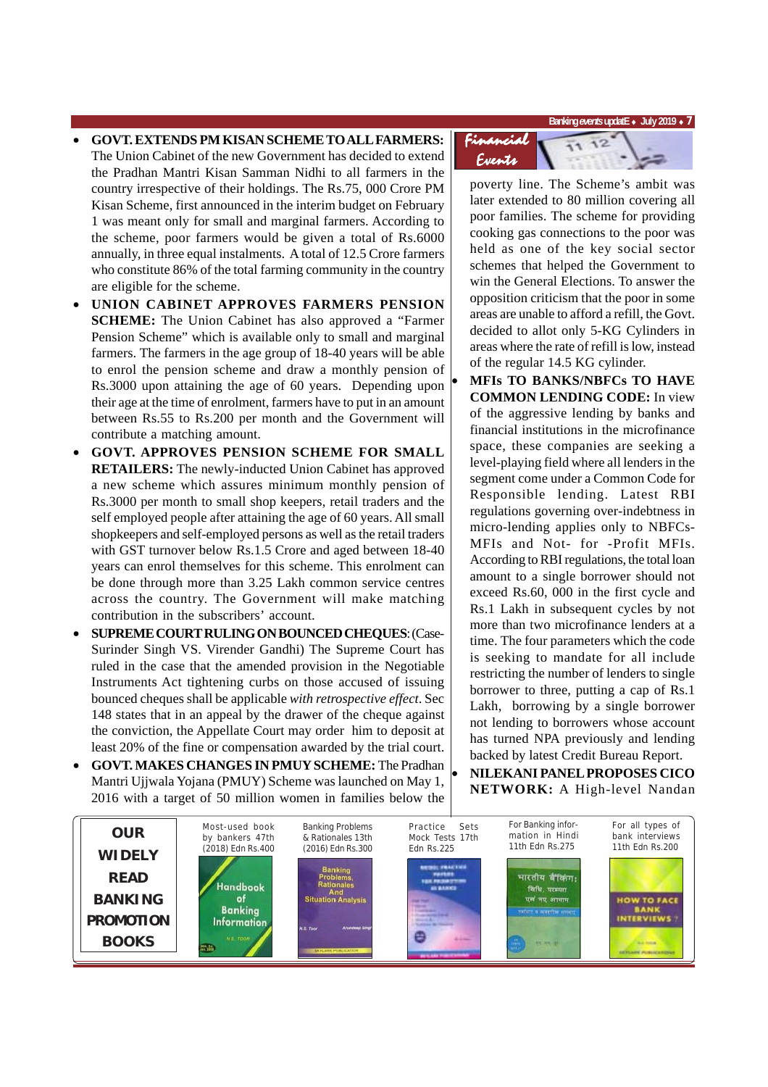**Banking** *events* **updatE** ♦ **July 2019** ♦ **7**

- **GOVT. EXTENDS PM KISAN SCHEME TO ALL FARMERS:** The Union Cabinet of the new Government has decided to extend the Pradhan Mantri Kisan Samman Nidhi to all farmers in the country irrespective of their holdings. The Rs.75, 000 Crore PM Kisan Scheme, first announced in the interim budget on February 1 was meant only for small and marginal farmers. According to the scheme, poor farmers would be given a total of Rs.6000 annually, in three equal instalments. A total of 12.5 Crore farmers who constitute 86% of the total farming community in the country are eligible for the scheme.
- **UNION CABINET APPROVES FARMERS PENSION SCHEME:** The Union Cabinet has also approved a "Farmer Pension Scheme" which is available only to small and marginal farmers. The farmers in the age group of 18-40 years will be able to enrol the pension scheme and draw a monthly pension of Rs.3000 upon attaining the age of 60 years. Depending upon their age at the time of enrolment, farmers have to put in an amount between Rs.55 to Rs.200 per month and the Government will contribute a matching amount.
- **GOVT. APPROVES PENSION SCHEME FOR SMALL RETAILERS:** The newly-inducted Union Cabinet has approved a new scheme which assures minimum monthly pension of Rs.3000 per month to small shop keepers, retail traders and the self employed people after attaining the age of 60 years. All small shopkeepers and self-employed persons as well as the retail traders with GST turnover below Rs.1.5 Crore and aged between 18-40 years can enrol themselves for this scheme. This enrolment can be done through more than 3.25 Lakh common service centres across the country. The Government will make matching contribution in the subscribers' account.
- **SUPREME COURT RULING ON BOUNCED CHEQUES**: (Case-Surinder Singh VS. Virender Gandhi) The Supreme Court has ruled in the case that the amended provision in the Negotiable Instruments Act tightening curbs on those accused of issuing bounced cheques shall be applicable *with retrospective effect*. Sec 148 states that in an appeal by the drawer of the cheque against the conviction, the Appellate Court may order him to deposit at least 20% of the fine or compensation awarded by the trial court.
- **GOVT. MAKES CHANGES IN PMUY SCHEME:** The Pradhan Mantri Ujjwala Yojana (PMUY) Scheme was launched on May 1, 2016 with a target of 50 million women in families below the



poverty line. The Scheme's ambit was later extended to 80 million covering all poor families. The scheme for providing cooking gas connections to the poor was held as one of the key social sector schemes that helped the Government to win the General Elections. To answer the opposition criticism that the poor in some areas are unable to afford a refill, the Govt. decided to allot only 5-KG Cylinders in areas where the rate of refill is low, instead of the regular 14.5 KG cylinder.

• **MFIs TO BANKS/NBFCs TO HAVE COMMON LENDING CODE:** In view of the aggressive lending by banks and financial institutions in the microfinance space, these companies are seeking a level-playing field where all lenders in the segment come under a Common Code for Responsible lending. Latest RBI regulations governing over-indebtness in micro-lending applies only to NBFCs-MFIs and Not- for -Profit MFIs. According to RBI regulations, the total loan amount to a single borrower should not exceed Rs.60, 000 in the first cycle and Rs.1 Lakh in subsequent cycles by not more than two microfinance lenders at a time. The four parameters which the code is seeking to mandate for all include restricting the number of lenders to single borrower to three, putting a cap of Rs.1 Lakh, borrowing by a single borrower not lending to borrowers whose account has turned NPA previously and lending backed by latest Credit Bureau Report. • **NILEKANI PANEL PROPOSES CICO**

**NETWORK:** A High-level Nandan

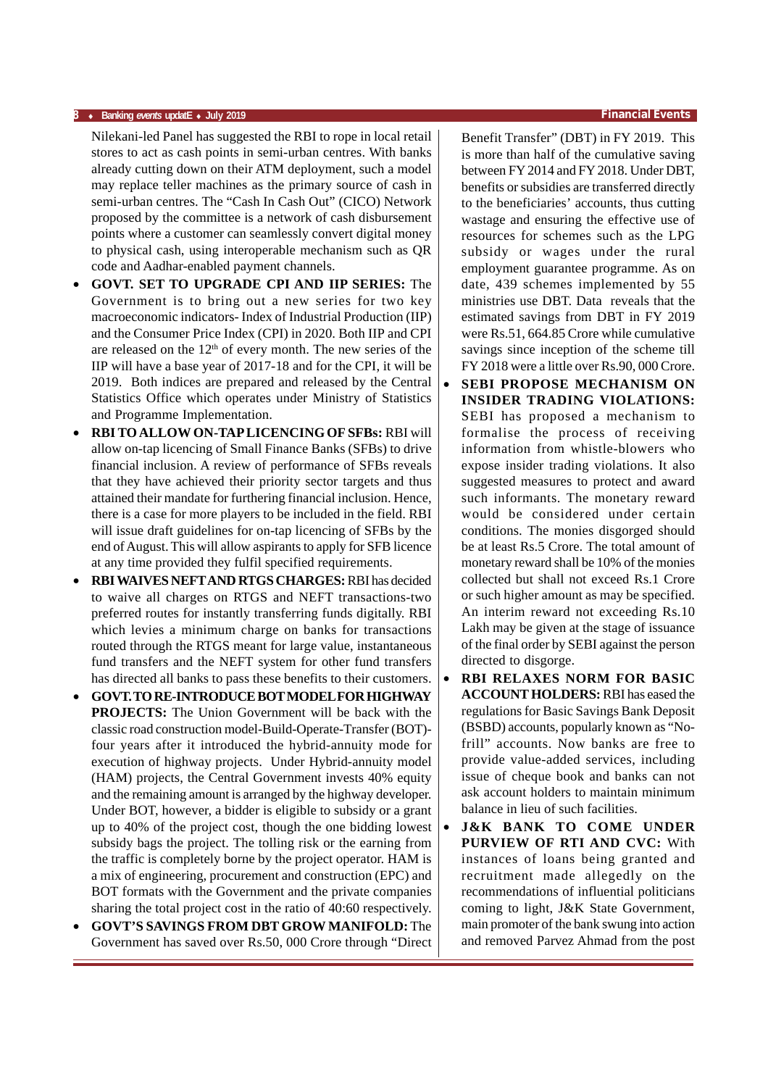#### **8** ♦ **Banking** *events* **updatE** ♦ **July 2019 Financial Events**

Nilekani-led Panel has suggested the RBI to rope in local retail stores to act as cash points in semi-urban centres. With banks already cutting down on their ATM deployment, such a model may replace teller machines as the primary source of cash in semi-urban centres. The "Cash In Cash Out" (CICO) Network proposed by the committee is a network of cash disbursement points where a customer can seamlessly convert digital money to physical cash, using interoperable mechanism such as QR code and Aadhar-enabled payment channels.

- **GOVT. SET TO UPGRADE CPI AND IIP SERIES:** The Government is to bring out a new series for two key macroeconomic indicators- Index of Industrial Production (IIP) and the Consumer Price Index (CPI) in 2020. Both IIP and CPI are released on the  $12<sup>th</sup>$  of every month. The new series of the IIP will have a base year of 2017-18 and for the CPI, it will be 2019. Both indices are prepared and released by the Central Statistics Office which operates under Ministry of Statistics and Programme Implementation.
- **RBI TO ALLOW ON-TAP LICENCING OF SFBs:** RBI will allow on-tap licencing of Small Finance Banks (SFBs) to drive financial inclusion. A review of performance of SFBs reveals that they have achieved their priority sector targets and thus attained their mandate for furthering financial inclusion. Hence, there is a case for more players to be included in the field. RBI will issue draft guidelines for on-tap licencing of SFBs by the end of August. This will allow aspirants to apply for SFB licence at any time provided they fulfil specified requirements.
- **RBI WAIVES NEFT AND RTGS CHARGES:** RBI has decided to waive all charges on RTGS and NEFT transactions-two preferred routes for instantly transferring funds digitally. RBI which levies a minimum charge on banks for transactions routed through the RTGS meant for large value, instantaneous fund transfers and the NEFT system for other fund transfers has directed all banks to pass these benefits to their customers.
- **GOVT. TO RE-INTRODUCE BOT MODEL FOR HIGHWAY PROJECTS:** The Union Government will be back with the classic road construction model-Build-Operate-Transfer (BOT) four years after it introduced the hybrid-annuity mode for execution of highway projects. Under Hybrid-annuity model (HAM) projects, the Central Government invests 40% equity and the remaining amount is arranged by the highway developer. Under BOT, however, a bidder is eligible to subsidy or a grant up to 40% of the project cost, though the one bidding lowest subsidy bags the project. The tolling risk or the earning from the traffic is completely borne by the project operator. HAM is a mix of engineering, procurement and construction (EPC) and BOT formats with the Government and the private companies sharing the total project cost in the ratio of 40:60 respectively.
- **GOVT'S SAVINGS FROM DBT GROW MANIFOLD:** The Government has saved over Rs.50, 000 Crore through "Direct

Benefit Transfer" (DBT) in FY 2019. This is more than half of the cumulative saving between FY 2014 and FY 2018. Under DBT, benefits or subsidies are transferred directly to the beneficiaries' accounts, thus cutting wastage and ensuring the effective use of resources for schemes such as the LPG subsidy or wages under the rural employment guarantee programme. As on date, 439 schemes implemented by 55 ministries use DBT. Data reveals that the estimated savings from DBT in FY 2019 were Rs.51, 664.85 Crore while cumulative savings since inception of the scheme till FY 2018 were a little over Rs.90, 000 Crore.

- **SEBI PROPOSE MECHANISM ON INSIDER TRADING VIOLATIONS:** SEBI has proposed a mechanism to formalise the process of receiving information from whistle-blowers who expose insider trading violations. It also suggested measures to protect and award such informants. The monetary reward would be considered under certain conditions. The monies disgorged should be at least Rs.5 Crore. The total amount of monetary reward shall be 10% of the monies collected but shall not exceed Rs.1 Crore or such higher amount as may be specified. An interim reward not exceeding Rs.10 Lakh may be given at the stage of issuance of the final order by SEBI against the person directed to disgorge.
- **RBI RELAXES NORM FOR BASIC ACCOUNT HOLDERS:** RBI has eased the regulations for Basic Savings Bank Deposit (BSBD) accounts, popularly known as "Nofrill" accounts. Now banks are free to provide value-added services, including issue of cheque book and banks can not ask account holders to maintain minimum balance in lieu of such facilities.
- **J&K BANK TO COME UNDER PURVIEW OF RTI AND CVC:** With instances of loans being granted and recruitment made allegedly on the recommendations of influential politicians coming to light, J&K State Government, main promoter of the bank swung into action and removed Parvez Ahmad from the post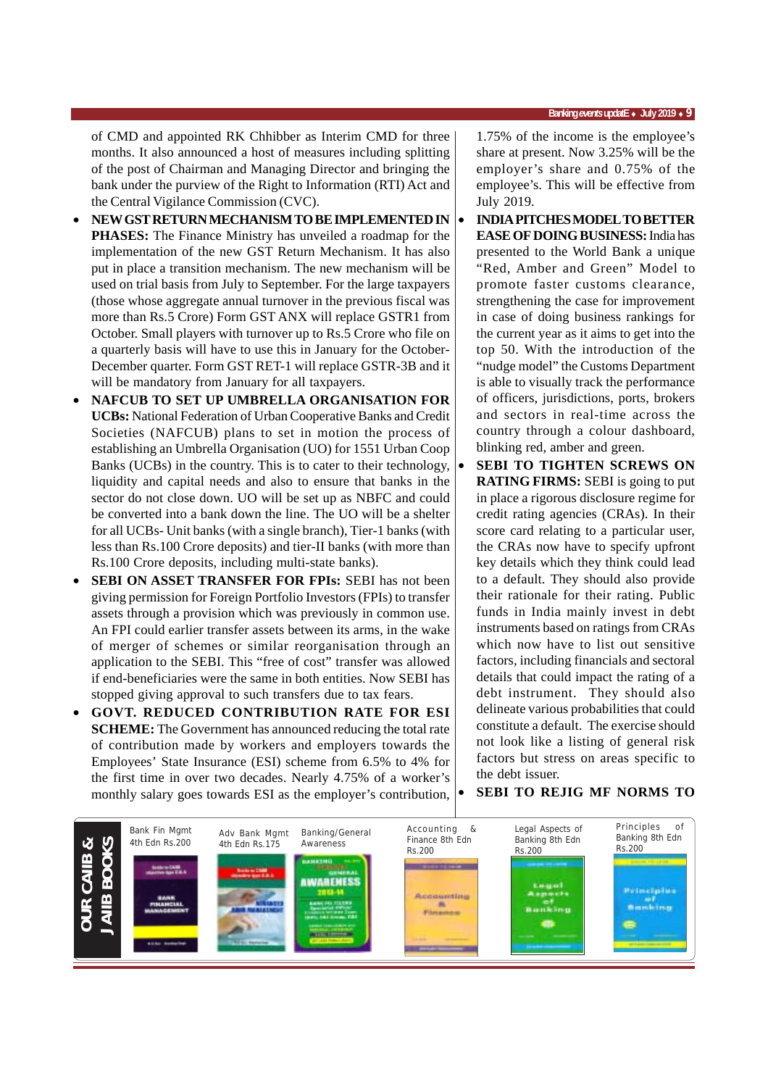of CMD and appointed RK Chhibber as Interim CMD for three months. It also announced a host of measures including splitting of the post of Chairman and Managing Director and bringing the bank under the purview of the Right to Information (RTI) Act and the Central Vigilance Commission (CVC).

- **NEW GST RETURN MECHANISM TO BE IMPLEMENTED IN PHASES:** The Finance Ministry has unveiled a roadmap for the implementation of the new GST Return Mechanism. It has also put in place a transition mechanism. The new mechanism will be used on trial basis from July to September. For the large taxpayers (those whose aggregate annual turnover in the previous fiscal was more than Rs.5 Crore) Form GST ANX will replace GSTR1 from October. Small players with turnover up to Rs.5 Crore who file on a quarterly basis will have to use this in January for the October-December quarter. Form GST RET-1 will replace GSTR-3B and it will be mandatory from January for all taxpayers.
- **NAFCUB TO SET UP UMBRELLA ORGANISATION FOR UCBs:** National Federation of Urban Cooperative Banks and Credit Societies (NAFCUB) plans to set in motion the process of establishing an Umbrella Organisation (UO) for 1551 Urban Coop Banks (UCBs) in the country. This is to cater to their technology, liquidity and capital needs and also to ensure that banks in the sector do not close down. UO will be set up as NBFC and could be converted into a bank down the line. The UO will be a shelter for all UCBs- Unit banks (with a single branch), Tier-1 banks (with less than Rs.100 Crore deposits) and tier-II banks (with more than Rs.100 Crore deposits, including multi-state banks).
- **SEBI ON ASSET TRANSFER FOR FPIs:** SEBI has not been giving permission for Foreign Portfolio Investors (FPIs) to transfer assets through a provision which was previously in common use. An FPI could earlier transfer assets between its arms, in the wake of merger of schemes or similar reorganisation through an application to the SEBI. This "free of cost" transfer was allowed if end-beneficiaries were the same in both entities. Now SEBI has stopped giving approval to such transfers due to tax fears.
- **GOVT. REDUCED CONTRIBUTION RATE FOR ESI SCHEME:** The Government has announced reducing the total rate of contribution made by workers and employers towards the Employees' State Insurance (ESI) scheme from 6.5% to 4% for the first time in over two decades. Nearly 4.75% of a worker's monthly salary goes towards ESI as the employer's contribution,

1.75% of the income is the employee's share at present. Now 3.25% will be the employer's share and 0.75% of the employee's. This will be effective from July 2019.

- **INDIA PITCHES MODEL TO BETTER EASE OF DOING BUSINESS:** India has presented to the World Bank a unique "Red, Amber and Green" Model to promote faster customs clearance, strengthening the case for improvement in case of doing business rankings for the current year as it aims to get into the top 50. With the introduction of the "nudge model" the Customs Department is able to visually track the performance of officers, jurisdictions, ports, brokers and sectors in real-time across the country through a colour dashboard, blinking red, amber and green.
- **SEBI TO TIGHTEN SCREWS ON RATING FIRMS:** SEBI is going to put in place a rigorous disclosure regime for credit rating agencies (CRAs). In their score card relating to a particular user, the CRAs now have to specify upfront key details which they think could lead to a default. They should also provide their rationale for their rating. Public funds in India mainly invest in debt instruments based on ratings from CRAs which now have to list out sensitive factors, including financials and sectoral details that could impact the rating of a debt instrument. They should also delineate various probabilities that could constitute a default. The exercise should not look like a listing of general risk factors but stress on areas specific to the debt issuer.

#### • **SEBI TO REJIG MF NORMS TO**

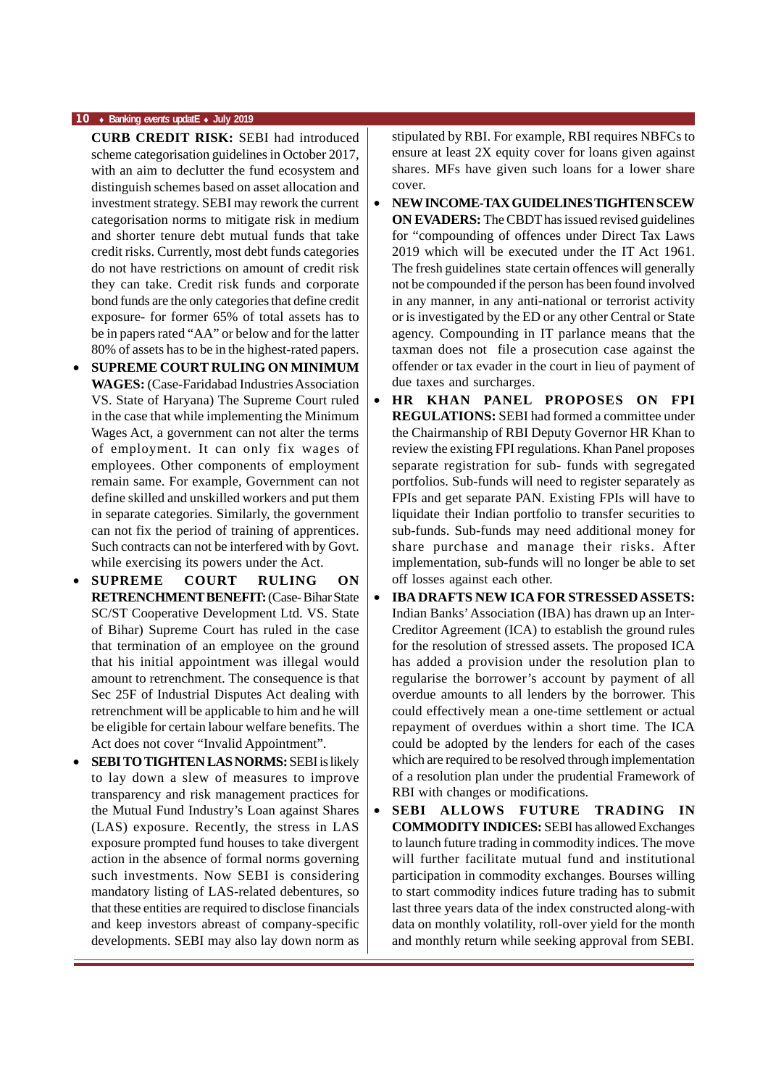#### **10** ♦ **Banking** *events* **updatE** ♦ **July 2019**

- **CURB CREDIT RISK:** SEBI had introduced scheme categorisation guidelines in October 2017, with an aim to declutter the fund ecosystem and distinguish schemes based on asset allocation and investment strategy. SEBI may rework the current categorisation norms to mitigate risk in medium and shorter tenure debt mutual funds that take credit risks. Currently, most debt funds categories do not have restrictions on amount of credit risk they can take. Credit risk funds and corporate bond funds are the only categories that define credit exposure- for former 65% of total assets has to be in papers rated "AA" or below and for the latter 80% of assets has to be in the highest-rated papers.
- **SUPREME COURT RULING ON MINIMUM WAGES:** (Case-Faridabad Industries Association VS. State of Haryana) The Supreme Court ruled in the case that while implementing the Minimum Wages Act, a government can not alter the terms of employment. It can only fix wages of employees. Other components of employment remain same. For example, Government can not define skilled and unskilled workers and put them in separate categories. Similarly, the government can not fix the period of training of apprentices. Such contracts can not be interfered with by Govt. while exercising its powers under the Act.
- **SUPREME COURT RULING ON RETRENCHMENT BENEFIT:** (Case- Bihar State SC/ST Cooperative Development Ltd. VS. State of Bihar) Supreme Court has ruled in the case that termination of an employee on the ground that his initial appointment was illegal would amount to retrenchment. The consequence is that Sec 25F of Industrial Disputes Act dealing with retrenchment will be applicable to him and he will be eligible for certain labour welfare benefits. The Act does not cover "Invalid Appointment".
- **SEBI TO TIGHTEN LAS NORMS:** SEBI is likely to lay down a slew of measures to improve transparency and risk management practices for the Mutual Fund Industry's Loan against Shares (LAS) exposure. Recently, the stress in LAS exposure prompted fund houses to take divergent action in the absence of formal norms governing such investments. Now SEBI is considering mandatory listing of LAS-related debentures, so that these entities are required to disclose financials and keep investors abreast of company-specific developments. SEBI may also lay down norm as

stipulated by RBI. For example, RBI requires NBFCs to ensure at least 2X equity cover for loans given against shares. MFs have given such loans for a lower share cover.

- **NEW INCOME-TAX GUIDELINES TIGHTEN SCEW ON EVADERS:** The CBDT has issued revised guidelines for "compounding of offences under Direct Tax Laws 2019 which will be executed under the IT Act 1961. The fresh guidelines state certain offences will generally not be compounded if the person has been found involved in any manner, in any anti-national or terrorist activity or is investigated by the ED or any other Central or State agency. Compounding in IT parlance means that the taxman does not file a prosecution case against the offender or tax evader in the court in lieu of payment of due taxes and surcharges.
- **HR KHAN PANEL PROPOSES ON FPI REGULATIONS:** SEBI had formed a committee under the Chairmanship of RBI Deputy Governor HR Khan to review the existing FPI regulations. Khan Panel proposes separate registration for sub- funds with segregated portfolios. Sub-funds will need to register separately as FPIs and get separate PAN. Existing FPIs will have to liquidate their Indian portfolio to transfer securities to sub-funds. Sub-funds may need additional money for share purchase and manage their risks. After implementation, sub-funds will no longer be able to set off losses against each other.
- **IBA DRAFTS NEW ICA FOR STRESSED ASSETS:** Indian Banks' Association (IBA) has drawn up an Inter-Creditor Agreement (ICA) to establish the ground rules for the resolution of stressed assets. The proposed ICA has added a provision under the resolution plan to regularise the borrower's account by payment of all overdue amounts to all lenders by the borrower. This could effectively mean a one-time settlement or actual repayment of overdues within a short time. The ICA could be adopted by the lenders for each of the cases which are required to be resolved through implementation of a resolution plan under the prudential Framework of RBI with changes or modifications.
- **SEBI ALLOWS FUTURE TRADING IN COMMODITY INDICES:** SEBI has allowed Exchanges to launch future trading in commodity indices. The move will further facilitate mutual fund and institutional participation in commodity exchanges. Bourses willing to start commodity indices future trading has to submit last three years data of the index constructed along-with data on monthly volatility, roll-over yield for the month and monthly return while seeking approval from SEBI.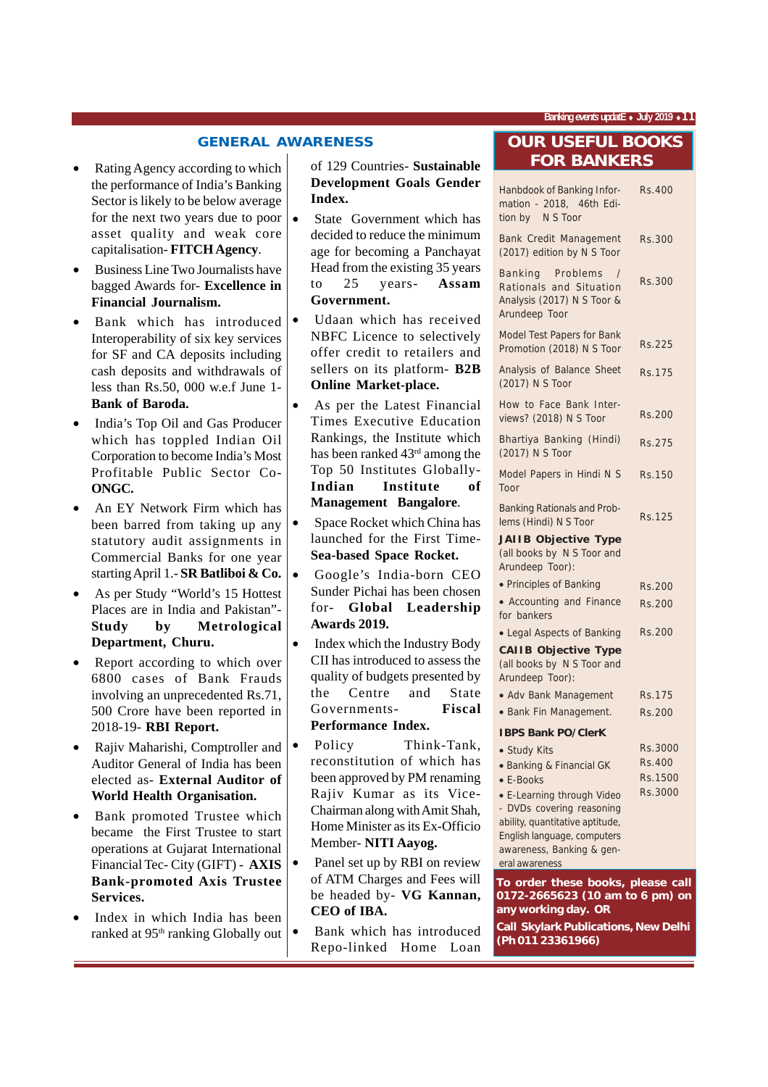**Banking** *events* **updatE** ♦ **July 2019** ♦**11**

#### **GENERAL AWARENESS**

- Rating Agency according to which the performance of India's Banking Sector is likely to be below average for the next two years due to poor asset quality and weak core capitalisation- **FITCH Agency**.
- Business Line Two Journalists have bagged Awards for- **Excellence in Financial Journalism.**
- Bank which has introduced Interoperability of six key services for SF and CA deposits including cash deposits and withdrawals of less than Rs.50, 000 w.e.f June 1- **Bank of Baroda.**
- India's Top Oil and Gas Producer which has toppled Indian Oil Corporation to become India's Most Profitable Public Sector Co-**ONGC.**
- An EY Network Firm which has been barred from taking up any statutory audit assignments in Commercial Banks for one year starting April 1.- **SR Batliboi & Co.**
- As per Study "World's 15 Hottest Places are in India and Pakistan"- **Study by Metrological Department, Churu.**
- Report according to which over 6800 cases of Bank Frauds involving an unprecedented Rs.71, 500 Crore have been reported in 2018-19- **RBI Report.**
- Rajiv Maharishi, Comptroller and Auditor General of India has been elected as- **External Auditor of World Health Organisation.**
- Bank promoted Trustee which became the First Trustee to start operations at Gujarat International Financial Tec- City (GIFT) - **AXIS Bank-promoted Axis Trustee Services.**
- Index in which India has been ranked at  $95<sup>th</sup>$  ranking Globally out

#### of 129 Countries- **Sustainable Development Goals Gender Index.**

- State Government which has decided to reduce the minimum age for becoming a Panchayat Head from the existing 35 years to 25 years- **Assam Government.**
- Udaan which has received NBFC Licence to selectively offer credit to retailers and sellers on its platform- **B2B Online Market-place.**
- As per the Latest Financial Times Executive Education Rankings, the Institute which has been ranked 43rd among the Top 50 Institutes Globally-**Indian Institute of Management Bangalore**.
- Space Rocket which China has launched for the First Time-**Sea-based Space Rocket.**
- Google's India-born CEO Sunder Pichai has been chosen for- **Global Leadership Awards 2019.**
- Index which the Industry Body CII has introduced to assess the quality of budgets presented by the Centre and State Governments- **Fiscal Performance Index.**
- Policy Think-Tank, reconstitution of which has been approved by PM renaming Rajiv Kumar as its Vice-Chairman along with Amit Shah, Home Minister as its Ex-Officio Member- **NITI Aayog.**
- Panel set up by RBI on review of ATM Charges and Fees will be headed by- **VG Kannan, CEO of IBA.**
- Bank which has introduced Repo-linked Home Loan

#### **OUR USEFUL BOOKS FOR BANKERS**

| Hanbdook of Banking Infor-<br>mation - 2018, 46th Edi-<br>tion by N S Toor                                                                  | Rs.400        |
|---------------------------------------------------------------------------------------------------------------------------------------------|---------------|
| Bank Credit Management<br>(2017) edition by N S Toor                                                                                        | Rs.300        |
| Problems<br>Banking<br>$\prime$<br>Rationals and Situation<br>Analysis (2017) N S Toor &<br>Arundeep Toor                                   | Rs.300        |
| <b>Model Test Papers for Bank</b><br>Promotion (2018) N S Toor                                                                              | Rs.225        |
| Analysis of Balance Sheet<br>(2017) N S Toor                                                                                                | Rs.175        |
| How to Face Bank Inter-<br>views? (2018) N S Toor                                                                                           | <b>Rs.200</b> |
| Bhartiya Banking (Hindi)<br>(2017) N S Toor                                                                                                 | <b>Rs.275</b> |
| Model Papers in Hindi N S<br>Toor                                                                                                           | Rs.150        |
| <b>Banking Rationals and Prob-</b><br>lems (Hindi) N S Toor<br><b>JAIIB Objective Type</b><br>(all books by N S Toor and<br>Arundeep Toor): | Rs.125        |
| • Principles of Banking                                                                                                                     | Rs.200        |
| • Accounting and Finance                                                                                                                    | Rs.200        |
| for bankers                                                                                                                                 |               |
| • Legal Aspects of Banking<br><b>CAIIB Objective Type</b><br>(all books by N S Toor and<br>Arundeep Toor):                                  | Rs.200        |
| • Adv Bank Management                                                                                                                       | Rs.175        |
| • Bank Fin Management.                                                                                                                      | Rs.200        |
| <b>IBPS Bank PO/ClerK</b>                                                                                                                   |               |
| · Study Kits                                                                                                                                | Rs.3000       |
| • Banking & Financial GK                                                                                                                    | Rs.400        |
| • E-Books                                                                                                                                   | Rs.1500       |
| • E-Learning through Video                                                                                                                  | Rs.3000       |
| - DVDs covering reasoning                                                                                                                   |               |
| ability, quantitative aptitude,<br>English language, computers                                                                              |               |
| awareness, Banking & gen-                                                                                                                   |               |
| eral awareness                                                                                                                              |               |
| To order these books, please call                                                                                                           |               |
| 0172-2665623 (10 am to 6 pm) on                                                                                                             |               |

**0172-2665623 (10 am to 6 pm) on any working day. OR Call Skylark Publications, New Delhi (Ph 011 23361966)**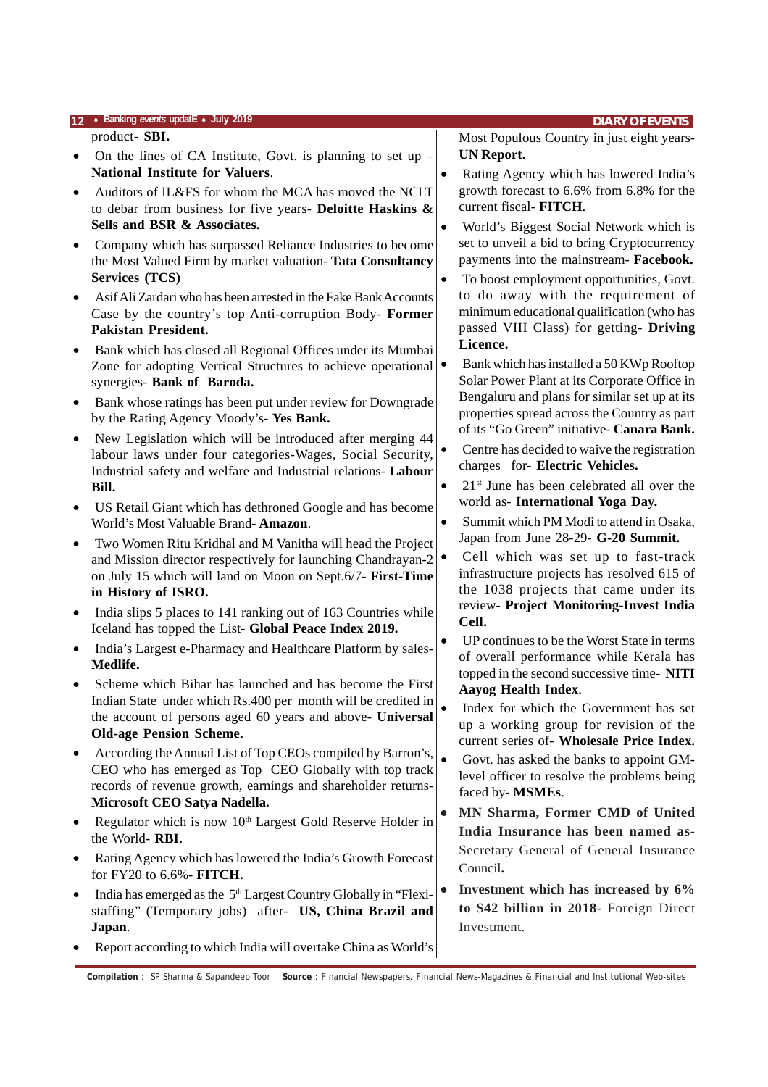|           | 12 • Banking events updatE • July 2019                                                                                 |           | <b>DIARY OF EVENTS</b>                                                            |
|-----------|------------------------------------------------------------------------------------------------------------------------|-----------|-----------------------------------------------------------------------------------|
|           | product- SBI.                                                                                                          |           | Most Populous Country in just eight years-                                        |
| $\bullet$ | On the lines of CA Institute, Govt. is planning to set up $-$                                                          |           | <b>UN Report.</b>                                                                 |
|           | <b>National Institute for Valuers.</b>                                                                                 | $\bullet$ | Rating Agency which has lowered India's                                           |
| $\bullet$ | Auditors of IL&FS for whom the MCA has moved the NCLT                                                                  |           | growth forecast to 6.6% from 6.8% for the<br>current fiscal- FITCH.               |
|           | to debar from business for five years- Deloitte Haskins $\&$<br>Sells and BSR & Associates.                            | $\bullet$ | World's Biggest Social Network which is                                           |
| $\bullet$ | Company which has surpassed Reliance Industries to become                                                              |           | set to unveil a bid to bring Cryptocurrency                                       |
|           | the Most Valued Firm by market valuation- Tata Consultancy                                                             |           | payments into the mainstream- Facebook.                                           |
|           | <b>Services (TCS)</b>                                                                                                  | $\bullet$ | To boost employment opportunities, Govt.                                          |
| $\bullet$ | Asif Ali Zardari who has been arrested in the Fake Bank Accounts                                                       |           | to do away with the requirement of                                                |
|           | Case by the country's top Anti-corruption Body- Former                                                                 |           | minimum educational qualification (who has                                        |
|           | <b>Pakistan President.</b>                                                                                             |           | passed VIII Class) for getting- Driving<br>Licence.                               |
| $\bullet$ | Bank which has closed all Regional Offices under its Mumbai                                                            |           | Bank which has installed a 50 KWp Rooftop                                         |
|           | Zone for adopting Vertical Structures to achieve operational<br>synergies- Bank of Baroda.                             |           | Solar Power Plant at its Corporate Office in                                      |
| $\bullet$ | Bank whose ratings has been put under review for Downgrade                                                             |           | Bengaluru and plans for similar set up at its                                     |
|           | by the Rating Agency Moody's- Yes Bank.                                                                                |           | properties spread across the Country as part                                      |
| $\bullet$ | New Legislation which will be introduced after merging 44                                                              |           | of its "Go Green" initiative- Canara Bank.                                        |
|           | labour laws under four categories-Wages, Social Security,                                                              | $\bullet$ | Centre has decided to waive the registration                                      |
|           | Industrial safety and welfare and Industrial relations- Labour                                                         |           | charges for- Electric Vehicles.                                                   |
|           | Bill.                                                                                                                  | $\bullet$ | $21st$ June has been celebrated all over the<br>world as- International Yoga Day. |
| $\bullet$ | US Retail Giant which has dethroned Google and has become<br>World's Most Valuable Brand-Amazon.                       | $\bullet$ | Summit which PM Modi to attend in Osaka,                                          |
| $\bullet$ | Two Women Ritu Kridhal and M Vanitha will head the Project                                                             |           | Japan from June 28-29- G-20 Summit.                                               |
|           | and Mission director respectively for launching Chandrayan-2                                                           |           | Cell which was set up to fast-track                                               |
|           | on July 15 which will land on Moon on Sept.6/7- First-Time                                                             |           | infrastructure projects has resolved 615 of                                       |
|           | in History of ISRO.                                                                                                    |           | the 1038 projects that came under its                                             |
| $\bullet$ | India slips 5 places to 141 ranking out of 163 Countries while                                                         |           | review- Project Monitoring-Invest India<br>Cell.                                  |
|           | Iceland has topped the List-Global Peace Index 2019.                                                                   |           | UP continues to be the Worst State in terms                                       |
|           | India's Largest e-Pharmacy and Healthcare Platform by sales-<br>Medlife.                                               |           | of overall performance while Kerala has                                           |
|           | Scheme which Bihar has launched and has become the First                                                               |           | topped in the second successive time-NITI                                         |
|           | Indian State under which Rs.400 per month will be credited in                                                          |           | Aayog Health Index.                                                               |
|           | the account of persons aged 60 years and above- Universal                                                              |           | Index for which the Government has set<br>up a working group for revision of the  |
|           | <b>Old-age Pension Scheme.</b>                                                                                         |           | current series of- Wholesale Price Index.                                         |
| $\bullet$ | According the Annual List of Top CEOs compiled by Barron's,                                                            | $\bullet$ | Govt. has asked the banks to appoint GM-                                          |
|           | CEO who has emerged as Top CEO Globally with top track<br>records of revenue growth, earnings and shareholder returns- |           | level officer to resolve the problems being                                       |
|           | Microsoft CEO Satya Nadella.                                                                                           |           | faced by-MSMEs.                                                                   |
| $\bullet$ | Regulator which is now 10 <sup>th</sup> Largest Gold Reserve Holder in                                                 |           | MN Sharma, Former CMD of United                                                   |
|           | the World-RBI.                                                                                                         |           | India Insurance has been named as-                                                |
| ٠         | Rating Agency which has lowered the India's Growth Forecast                                                            |           | Secretary General of General Insurance                                            |
|           | for FY20 to 6.6% - FITCH.                                                                                              |           | Council.                                                                          |
| $\bullet$ | India has emerged as the 5 <sup>th</sup> Largest Country Globally in "Flexi-                                           |           | Investment which has increased by 6%                                              |
|           | staffing" (Temporary jobs) after- US, China Brazil and<br>Japan.                                                       |           | to \$42 billion in 2018- Foreign Direct<br>Investment.                            |
|           | Report according to which India will overtake China as World's                                                         |           |                                                                                   |
|           |                                                                                                                        |           |                                                                                   |

**Compilation** : SP Sharma & Sapandeep Toor **Source** : Financial Newspapers, Financial News-Magazines & Financial and Institutional Web-sites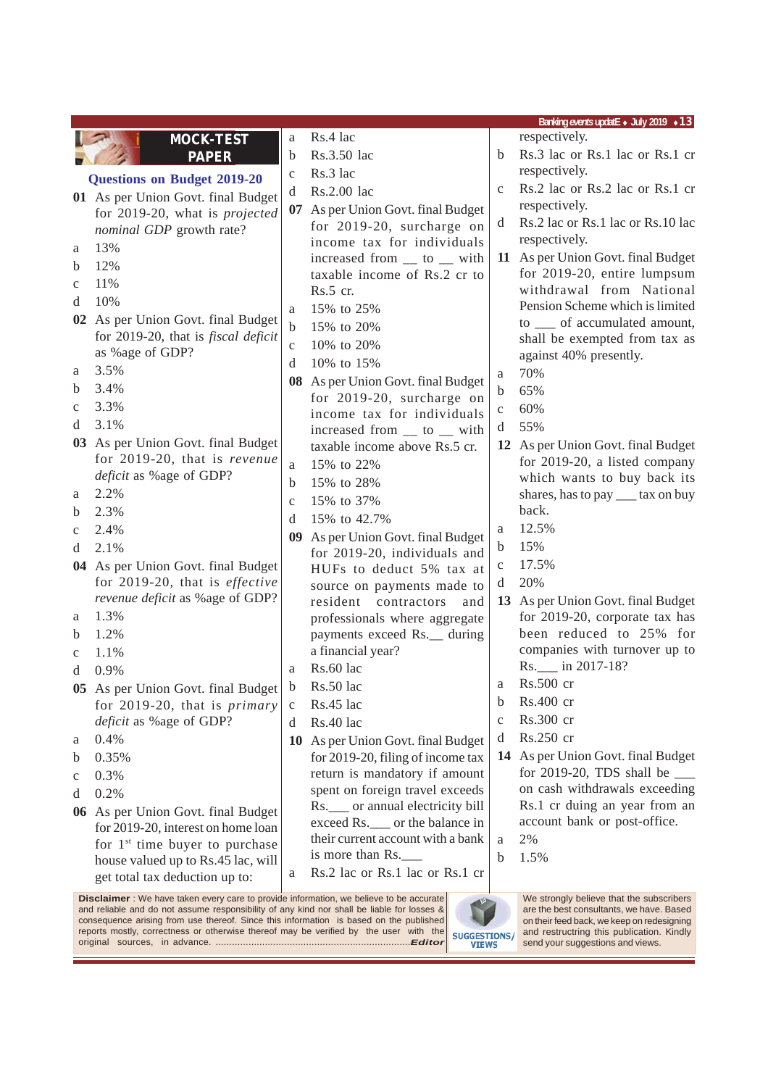|                                                                                                                                                                                                                                                                                                                                                                                                                              | Banking events updatE • July 2019 • 13                             |              |                                                                       |              |                                                                |  |
|------------------------------------------------------------------------------------------------------------------------------------------------------------------------------------------------------------------------------------------------------------------------------------------------------------------------------------------------------------------------------------------------------------------------------|--------------------------------------------------------------------|--------------|-----------------------------------------------------------------------|--------------|----------------------------------------------------------------|--|
|                                                                                                                                                                                                                                                                                                                                                                                                                              | <b>MOCK-TEST</b>                                                   | a            | Rs.4 lac                                                              |              | respectively.                                                  |  |
|                                                                                                                                                                                                                                                                                                                                                                                                                              | <b>PAPER</b>                                                       | $\mathbf b$  | Rs.3.50 lac                                                           | b            | Rs.3 lac or Rs.1 lac or Rs.1 cr                                |  |
|                                                                                                                                                                                                                                                                                                                                                                                                                              | <b>Questions on Budget 2019-20</b>                                 | $\mathbf c$  | Rs.3 lac                                                              |              | respectively.                                                  |  |
|                                                                                                                                                                                                                                                                                                                                                                                                                              | 01 As per Union Govt. final Budget                                 | d            | Rs.2.00 lac                                                           | $\mathbf{C}$ | Rs.2 lac or Rs.2 lac or Rs.1 cr                                |  |
|                                                                                                                                                                                                                                                                                                                                                                                                                              | for 2019-20, what is projected                                     | 07           | As per Union Govt. final Budget                                       |              | respectively.                                                  |  |
|                                                                                                                                                                                                                                                                                                                                                                                                                              | nominal GDP growth rate?                                           |              | for 2019-20, surcharge on                                             | d            | Rs.2 lac or Rs.1 lac or Rs.10 lac                              |  |
| a                                                                                                                                                                                                                                                                                                                                                                                                                            | 13%                                                                |              | income tax for individuals                                            |              | respectively.                                                  |  |
| b                                                                                                                                                                                                                                                                                                                                                                                                                            | 12%                                                                |              | increased from __ to __ with                                          |              | 11 As per Union Govt. final Budget                             |  |
| c                                                                                                                                                                                                                                                                                                                                                                                                                            | 11%                                                                |              | taxable income of Rs.2 cr to                                          |              | for 2019-20, entire lumpsum                                    |  |
| d                                                                                                                                                                                                                                                                                                                                                                                                                            | 10%                                                                |              | Rs.5 cr.                                                              |              | withdrawal from National                                       |  |
|                                                                                                                                                                                                                                                                                                                                                                                                                              | 02 As per Union Govt. final Budget                                 | a            | 15% to 25%                                                            |              | Pension Scheme which is limited                                |  |
|                                                                                                                                                                                                                                                                                                                                                                                                                              | for 2019-20, that is <i>fiscal deficit</i>                         | b            | 15% to 20%                                                            |              | to __ of accumulated amount,                                   |  |
|                                                                                                                                                                                                                                                                                                                                                                                                                              | as %age of GDP?                                                    | $\mathbf{C}$ | 10% to 20%                                                            |              | shall be exempted from tax as<br>against 40% presently.        |  |
| a                                                                                                                                                                                                                                                                                                                                                                                                                            | 3.5%                                                               | d            | 10% to 15%                                                            |              | 70%                                                            |  |
| b                                                                                                                                                                                                                                                                                                                                                                                                                            | 3.4%                                                               |              | 08 As per Union Govt. final Budget                                    | a            |                                                                |  |
| c                                                                                                                                                                                                                                                                                                                                                                                                                            | 3.3%                                                               |              | for 2019-20, surcharge on                                             | b            | 65%                                                            |  |
| d                                                                                                                                                                                                                                                                                                                                                                                                                            | 3.1%                                                               |              | income tax for individuals                                            | $\mathbf c$  | 60%                                                            |  |
|                                                                                                                                                                                                                                                                                                                                                                                                                              |                                                                    |              | increased from __ to __ with                                          | d            | 55%                                                            |  |
|                                                                                                                                                                                                                                                                                                                                                                                                                              | 03 As per Union Govt. final Budget<br>for 2019-20, that is revenue |              | taxable income above Rs.5 cr.                                         |              | 12 As per Union Govt. final Budget                             |  |
|                                                                                                                                                                                                                                                                                                                                                                                                                              | <i>deficit</i> as %age of GDP?                                     | a            | 15% to 22%                                                            |              | for 2019-20, a listed company                                  |  |
|                                                                                                                                                                                                                                                                                                                                                                                                                              | 2.2%                                                               | b            | 15% to 28%                                                            |              | which wants to buy back its                                    |  |
| a                                                                                                                                                                                                                                                                                                                                                                                                                            | 2.3%                                                               | $\mathbf{C}$ | 15% to 37%                                                            |              | shares, has to pay ____ tax on buy<br>back.                    |  |
| b                                                                                                                                                                                                                                                                                                                                                                                                                            |                                                                    | d            | 15% to 42.7%                                                          |              | 12.5%                                                          |  |
| $\mathbf c$                                                                                                                                                                                                                                                                                                                                                                                                                  | 2.4%                                                               | 09           | As per Union Govt. final Budget                                       | a            |                                                                |  |
| d                                                                                                                                                                                                                                                                                                                                                                                                                            | 2.1%                                                               |              | for 2019-20, individuals and                                          | b            | 15%                                                            |  |
|                                                                                                                                                                                                                                                                                                                                                                                                                              | 04 As per Union Govt. final Budget                                 |              | HUFs to deduct 5% tax at                                              | C            | 17.5%                                                          |  |
|                                                                                                                                                                                                                                                                                                                                                                                                                              | for 2019-20, that is effective                                     |              | source on payments made to                                            | d            | 20%                                                            |  |
|                                                                                                                                                                                                                                                                                                                                                                                                                              | revenue deficit as % age of GDP?                                   |              | resident contractors<br>and                                           |              | 13 As per Union Govt. final Budget                             |  |
| a                                                                                                                                                                                                                                                                                                                                                                                                                            | 1.3%                                                               |              | professionals where aggregate                                         |              | for 2019-20, corporate tax has                                 |  |
| b                                                                                                                                                                                                                                                                                                                                                                                                                            | 1.2%                                                               |              | payments exceed Rs.__ during                                          |              | been reduced to 25% for                                        |  |
| $\mathbf c$                                                                                                                                                                                                                                                                                                                                                                                                                  | 1.1%                                                               |              | a financial year?                                                     |              | companies with turnover up to                                  |  |
| d                                                                                                                                                                                                                                                                                                                                                                                                                            | 0.9%                                                               | a            | Rs.60 lac                                                             |              | Rs. in 2017-18?<br>Rs.500 cr                                   |  |
| 05                                                                                                                                                                                                                                                                                                                                                                                                                           | As per Union Govt. final Budget b                                  |              | Rs.50 lac                                                             | a            |                                                                |  |
|                                                                                                                                                                                                                                                                                                                                                                                                                              | for 2019-20, that is primary                                       | $\mathbf c$  | Rs.45 lac                                                             | b            | Rs.400 cr                                                      |  |
|                                                                                                                                                                                                                                                                                                                                                                                                                              | deficit as % age of GDP?                                           | d            | Rs.40 lac                                                             | $\mathbf c$  | Rs.300 cr                                                      |  |
| a                                                                                                                                                                                                                                                                                                                                                                                                                            | 0.4%                                                               |              | 10 As per Union Govt. final Budget                                    | d            | Rs.250 cr                                                      |  |
| b                                                                                                                                                                                                                                                                                                                                                                                                                            | 0.35%                                                              |              | for 2019-20, filing of income tax                                     |              | 14 As per Union Govt. final Budget                             |  |
| c                                                                                                                                                                                                                                                                                                                                                                                                                            | 0.3%                                                               |              | return is mandatory if amount                                         |              | for 2019-20, TDS shall be $\_\_$                               |  |
| d                                                                                                                                                                                                                                                                                                                                                                                                                            | 0.2%                                                               |              | spent on foreign travel exceeds                                       |              | on cash withdrawals exceeding<br>Rs.1 cr duing an year from an |  |
| 06                                                                                                                                                                                                                                                                                                                                                                                                                           | As per Union Govt. final Budget                                    |              | Rs. ____ or annual electricity bill<br>exceed Rs.__ or the balance in |              | account bank or post-office.                                   |  |
|                                                                                                                                                                                                                                                                                                                                                                                                                              | for 2019-20, interest on home loan                                 |              | their current account with a bank                                     | a            | 2%                                                             |  |
|                                                                                                                                                                                                                                                                                                                                                                                                                              | for 1 <sup>st</sup> time buyer to purchase                         |              | is more than Rs.                                                      | b            | 1.5%                                                           |  |
|                                                                                                                                                                                                                                                                                                                                                                                                                              | house valued up to Rs.45 lac, will                                 | a            | Rs.2 lac or Rs.1 lac or Rs.1 cr                                       |              |                                                                |  |
|                                                                                                                                                                                                                                                                                                                                                                                                                              | get total tax deduction up to:                                     |              |                                                                       |              |                                                                |  |
| <b>Disclaimer</b> : We have taken every care to provide information, we believe to be accurate<br>We strongly believe that the subscribers<br>and reliable and do not assume responsibility of any kind nor shall be liable for losses &<br>are the best consultants, we have. Based<br>consequence arising from use thereof. Since this information is based on the published<br>on their feed back, we keep on redesigning |                                                                    |              |                                                                       |              |                                                                |  |

reports mostly, correctness or otherwise thereof may be verified by the user with the original sources, in advance. .......................................................................*Editor*

and restructring this publication. Kindly send your suggestions and views.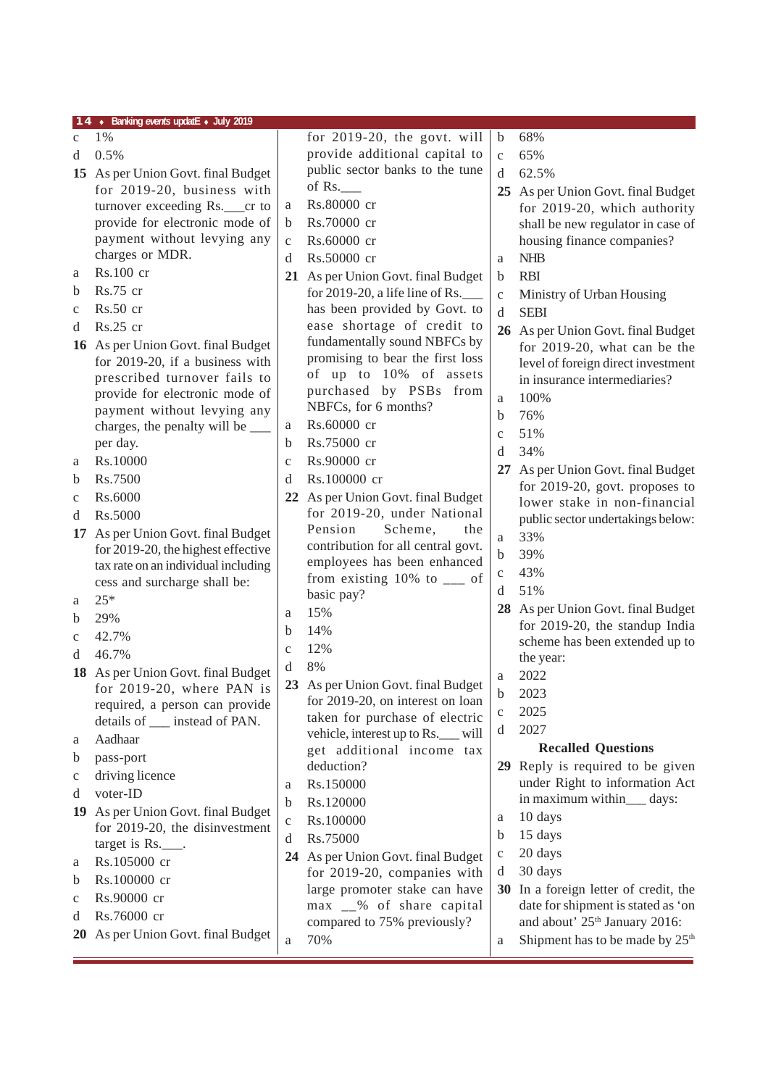|                  | 14 • Banking events updatE • July 2019                              |              |                                                          |              |                                             |
|------------------|---------------------------------------------------------------------|--------------|----------------------------------------------------------|--------------|---------------------------------------------|
| $\mathbf{c}$     | 1%                                                                  |              | for $2019-20$ , the govt. will                           | $\mathbf b$  | 68%                                         |
| d                | 0.5%                                                                |              | provide additional capital to                            | $\mathbf{C}$ | 65%                                         |
|                  | 15 As per Union Govt. final Budget                                  |              | public sector banks to the tune                          | d            | 62.5%                                       |
|                  | for 2019-20, business with                                          |              | of Rs.                                                   |              | 25 As per Union Govt. final Budget          |
|                  | turnover exceeding Rs.__cr to                                       | a            | Rs.80000 cr                                              |              | for 2019-20, which authority                |
|                  | provide for electronic mode of                                      | b            | Rs.70000 cr                                              |              | shall be new regulator in case of           |
|                  | payment without levying any                                         | $\mathbf{C}$ | Rs.60000 cr                                              |              | housing finance companies?                  |
|                  | charges or MDR.                                                     | d            | Rs.50000 cr                                              | a            | <b>NHB</b>                                  |
| a                | Rs.100 cr                                                           |              | 21 As per Union Govt. final Budget                       | $\mathbf b$  | <b>RBI</b>                                  |
| b                | $Rs.75$ cr                                                          |              | for 2019-20, a life line of Rs.                          | $\mathbf{C}$ | Ministry of Urban Housing                   |
| $\mathbf{C}$     | $Rs.50$ cr                                                          |              | has been provided by Govt. to                            | d            | <b>SEBI</b>                                 |
| d                | $Rs.25$ cr                                                          |              | ease shortage of credit to                               |              | 26 As per Union Govt. final Budget          |
|                  | 16 As per Union Govt. final Budget                                  |              | fundamentally sound NBFCs by                             |              | for 2019-20, what can be the                |
|                  | for 2019-20, if a business with                                     |              | promising to bear the first loss                         |              | level of foreign direct investment          |
|                  | prescribed turnover fails to                                        |              | of up to 10% of assets                                   |              | in insurance intermediaries?                |
|                  | provide for electronic mode of                                      |              | purchased by PSBs from                                   | a            | 100%                                        |
|                  | payment without levying any                                         |              | NBFCs, for 6 months?                                     | $\mathbf b$  | 76%                                         |
|                  | charges, the penalty will be _____                                  | a            | Rs.60000 cr                                              | $\mathbf{C}$ | 51%                                         |
|                  | per day.                                                            | b            | Rs.75000 cr                                              | d            | 34%                                         |
| a                | Rs.10000                                                            | $\mathbf c$  | Rs.90000 cr                                              |              | 27 As per Union Govt. final Budget          |
| b                | Rs.7500                                                             | d            | Rs.100000 cr                                             |              | for $2019-20$ , govt. proposes to           |
| $\mathbf c$      | Rs.6000                                                             | 22           | As per Union Govt. final Budget                          |              | lower stake in non-financial                |
| d                | Rs.5000                                                             |              | for 2019-20, under National<br>Pension<br>Scheme,<br>the |              | public sector undertakings below:           |
| 17               | As per Union Govt. final Budget                                     |              | contribution for all central govt.                       | $\mathbf{a}$ | 33%                                         |
|                  | for 2019-20, the highest effective                                  |              | employees has been enhanced                              | $\mathbf b$  | 39%                                         |
|                  | tax rate on an individual including<br>cess and surcharge shall be: |              | from existing $10\%$ to $\frac{ }{ }$ of                 | $\mathbf c$  | 43%                                         |
| a                | $25*$                                                               |              | basic pay?                                               | d            | 51%                                         |
| b                | 29%                                                                 | a            | 15%                                                      |              | 28 As per Union Govt. final Budget          |
|                  | 42.7%                                                               | b            | 14%                                                      |              | for 2019-20, the standup India              |
| $\mathbf c$<br>d | 46.7%                                                               | $\mathbf{C}$ | 12%                                                      |              | scheme has been extended up to              |
|                  |                                                                     | d            | 8%                                                       |              | the year:                                   |
|                  | 18 As per Union Govt. final Budget<br>for $2019-20$ , where PAN is  |              | 23 As per Union Govt. final Budget                       | a            | 2022                                        |
|                  | required, a person can provide                                      |              | for 2019-20, on interest on loan                         | $\mathbf b$  | 2023                                        |
|                  | details of __ instead of PAN.                                       |              | taken for purchase of electric                           | $\mathbf c$  | 2025                                        |
| a                | Aadhaar                                                             |              | vehicle, interest up to Rs.__ will                       | d            | 2027                                        |
| b                | pass-port                                                           |              | get additional income tax                                |              | <b>Recalled Questions</b>                   |
| $\mathbf c$      | driving licence                                                     |              | deduction?                                               | 29           | Reply is required to be given               |
| d                | voter-ID                                                            | a            | Rs.150000                                                |              | under Right to information Act              |
| 19               | As per Union Govt. final Budget                                     | b            | Rs.120000                                                |              | in maximum within___ days:                  |
|                  | for 2019-20, the disinvestment                                      | $\mathbf C$  | Rs.100000                                                | a            | 10 days                                     |
|                  | target is Rs.                                                       | d            | Rs.75000                                                 | $\mathbf b$  | 15 days                                     |
| a                | Rs.105000 cr                                                        |              | 24 As per Union Govt. final Budget                       | c            | 20 days                                     |
| b                | Rs.100000 cr                                                        |              | for 2019-20, companies with                              | d            | 30 days                                     |
| $\mathbf c$      | Rs.90000 cr                                                         |              | large promoter stake can have                            | 30           | In a foreign letter of credit, the          |
| d                | Rs.76000 cr                                                         |              | max __% of share capital                                 |              | date for shipment is stated as 'on          |
| <b>20</b>        | As per Union Govt. final Budget                                     |              | compared to 75% previously?                              |              | and about' 25 <sup>th</sup> January 2016:   |
|                  |                                                                     | a            | 70%                                                      | a            | Shipment has to be made by 25 <sup>th</sup> |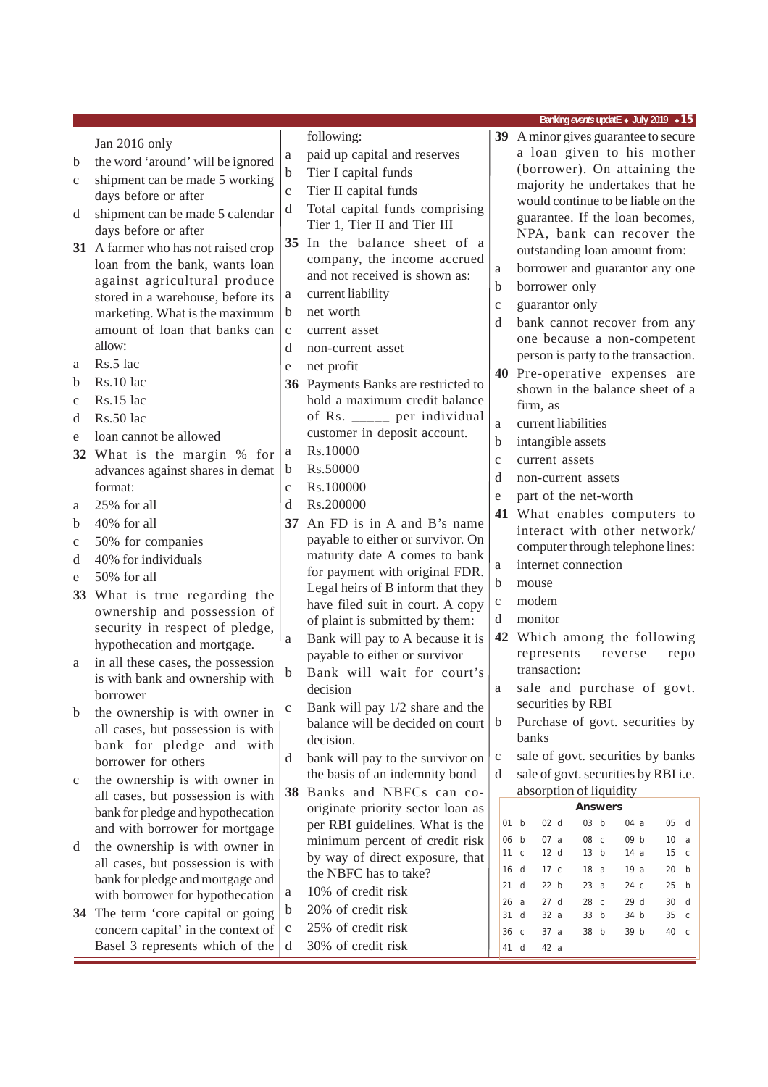|             |                                            |              |                                                                       |              | Banking events updatE • July 2019 • 15                                                            |
|-------------|--------------------------------------------|--------------|-----------------------------------------------------------------------|--------------|---------------------------------------------------------------------------------------------------|
|             | Jan 2016 only                              |              | following:                                                            |              | 39 A minor gives guarantee to secure                                                              |
| b           | the word 'around' will be ignored          | a            | paid up capital and reserves                                          |              | a loan given to his mother                                                                        |
|             | shipment can be made 5 working             | $\mathbf b$  | Tier I capital funds                                                  |              | (borrower). On attaining the                                                                      |
| C           | days before or after                       | $\mathbf{C}$ | Tier II capital funds                                                 |              | majority he undertakes that he                                                                    |
| d           | shipment can be made 5 calendar            | d            | Total capital funds comprising                                        |              | would continue to be liable on the                                                                |
|             | days before or after                       |              | Tier 1, Tier II and Tier III                                          |              | guarantee. If the loan becomes,                                                                   |
|             | 31 A farmer who has not raised crop        |              | 35 In the balance sheet of a                                          |              | NPA, bank can recover the                                                                         |
|             | loan from the bank, wants loan             |              | company, the income accrued                                           |              | outstanding loan amount from:                                                                     |
|             | against agricultural produce               |              | and not received is shown as:                                         | a            | borrower and guarantor any one                                                                    |
|             | stored in a warehouse, before its          | a            | current liability                                                     | b            | borrower only                                                                                     |
|             | marketing. What is the maximum             | b            | net worth                                                             | $\mathbf{C}$ | guarantor only                                                                                    |
|             | amount of loan that banks can              | $\mathbf{C}$ | current asset                                                         | d            | bank cannot recover from any                                                                      |
|             | allow:                                     | d            | non-current asset                                                     |              | one because a non-competent                                                                       |
| a           | Rs.5 lac                                   | e            | net profit                                                            |              | person is party to the transaction.                                                               |
| b           | Rs.10 lac                                  |              | 36 Payments Banks are restricted to                                   |              | 40 Pre-operative expenses are<br>shown in the balance sheet of a                                  |
| $\mathbf c$ | Rs.15 lac                                  |              | hold a maximum credit balance                                         |              | firm, as                                                                                          |
| d           | Rs.50 lac                                  |              | of Rs. _____ per individual                                           | a            | current liabilities                                                                               |
| e           | loan cannot be allowed                     |              | customer in deposit account.                                          | b            | intangible assets                                                                                 |
|             | 32 What is the margin % for                | a            | Rs.10000                                                              | $\mathbf{C}$ | current assets                                                                                    |
|             | advances against shares in demat           | b            | Rs.50000                                                              | d            | non-current assets                                                                                |
|             | format:                                    | $\mathbf{C}$ | Rs.100000                                                             | e            | part of the net-worth                                                                             |
| a           | 25% for all                                | d            | Rs.200000                                                             |              | 41 What enables computers to                                                                      |
| b           | 40% for all                                | 37           | An FD is in A and B's name                                            |              | interact with other network/                                                                      |
| C           | 50% for companies                          |              | payable to either or survivor. On                                     |              | computer through telephone lines:                                                                 |
| d           | 40% for individuals                        |              | maturity date A comes to bank                                         | $\rm{a}$     | internet connection                                                                               |
| e           | 50% for all                                |              | for payment with original FDR.                                        | $\mathbf b$  | mouse                                                                                             |
|             | 33 What is true regarding the              |              | Legal heirs of B inform that they<br>have filed suit in court. A copy | $\mathbf c$  | modem                                                                                             |
|             | ownership and possession of                |              | of plaint is submitted by them:                                       | d            | monitor                                                                                           |
|             | security in respect of pledge,             | a            | Bank will pay to A because it is                                      |              | 42 Which among the following                                                                      |
|             | hypothecation and mortgage.                |              | payable to either or survivor                                         |              | represents<br>reverse<br>repo                                                                     |
| a           | in all these cases, the possession         | b            | Bank will wait for court's                                            |              | transaction:                                                                                      |
|             | is with bank and ownership with            |              | decision                                                              | a            | sale and purchase of govt.                                                                        |
| b           | borrower<br>the ownership is with owner in | $\mathbf c$  | Bank will pay 1/2 share and the                                       |              | securities by RBI                                                                                 |
|             | all cases, but possession is with          |              | balance will be decided on court                                      | $\mathbf b$  | Purchase of govt. securities by                                                                   |
|             | bank for pledge and with                   |              | decision.                                                             |              | banks                                                                                             |
|             | borrower for others                        | d            | bank will pay to the survivor on                                      | $\mathbf c$  | sale of govt. securities by banks                                                                 |
| $\mathbf C$ | the ownership is with owner in             |              | the basis of an indemnity bond                                        | d            | sale of govt. securities by RBI i.e.                                                              |
|             | all cases, but possession is with          | 38           | Banks and NBFCs can co-                                               |              | absorption of liquidity                                                                           |
|             | bank for pledge and hypothecation          |              | originate priority sector loan as                                     |              | <b>Answers</b>                                                                                    |
|             | and with borrower for mortgage             |              | per RBI guidelines. What is the                                       |              | 03 b<br>01 b<br>02 <sub>d</sub><br>05 d<br>04 a                                                   |
| d           | the ownership is with owner in             |              | minimum percent of credit risk                                        |              | 08 c<br>09 b<br>06 b<br>07a<br>10 a<br>12 d<br>13 b<br>15 <sub>c</sub><br>11 <sub>c</sub><br>14 a |
|             | all cases, but possession is with          |              | by way of direct exposure, that                                       |              | 18a<br>19a<br>20<br>16 d<br>17 c<br>b                                                             |
|             | bank for pledge and mortgage and           |              | the NBFC has to take?                                                 |              | 21 d<br>22 b<br>23a<br>24 c<br>25 b                                                               |
|             | with borrower for hypothecation            | a            | 10% of credit risk                                                    |              | 27d<br>28 c<br>29 d<br>26a<br>30 d                                                                |
|             | 34 The term 'core capital or going         | b            | 20% of credit risk                                                    |              | 31<br>d<br>32a<br>33 b<br>34 b<br>35 <sub>c</sub>                                                 |
|             | concern capital' in the context of         | $\mathbf c$  | 25% of credit risk                                                    |              | 36 c<br>37a<br>38 b<br>39 b<br>40 c                                                               |
|             | Basel 3 represents which of the            | d            | 30% of credit risk                                                    |              | 41 d<br>42 a                                                                                      |